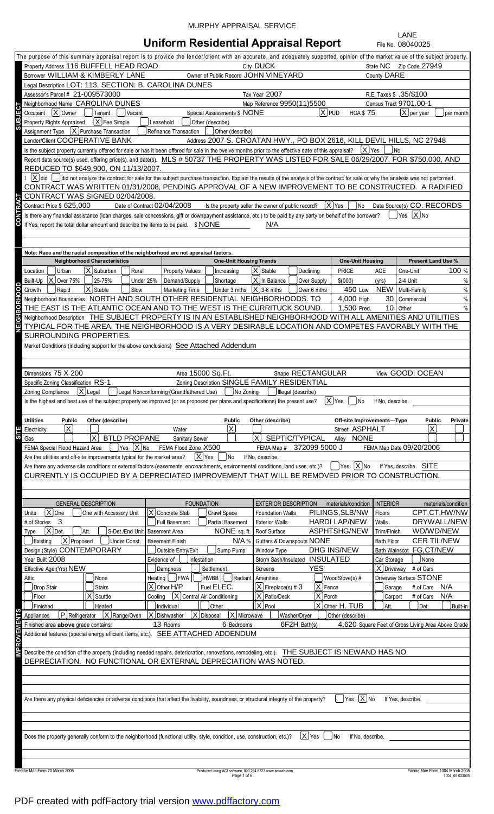### MURPHY APPRAISAL SERVICE

# **Uniform Residential Appraisal Report**

File No. 08040025 LANE

|                     | The purpose of this summary appraisal report is to provide the lender/client with an accurate, and adequately supported, opinion of the market value of the subject property.                          |                                     |                                           |                                         |                                                                            |                                 |                    |                               |                               |                                                    |                     |
|---------------------|--------------------------------------------------------------------------------------------------------------------------------------------------------------------------------------------------------|-------------------------------------|-------------------------------------------|-----------------------------------------|----------------------------------------------------------------------------|---------------------------------|--------------------|-------------------------------|-------------------------------|----------------------------------------------------|---------------------|
|                     | Property Address 116 BUFFELL HEAD ROAD                                                                                                                                                                 |                                     |                                           |                                         |                                                                            | City DUCK                       |                    |                               |                               | State NC    Zip Code 27949                         |                     |
|                     | Borrower WILLIAM & KIMBERLY LANE                                                                                                                                                                       |                                     |                                           |                                         | Owner of Public Record JOHN VINEYARD                                       |                                 |                    |                               | County DARE                   |                                                    |                     |
|                     | Legal Description LOT: 113, SECTION: B, CAROLINA DUNES                                                                                                                                                 |                                     |                                           |                                         |                                                                            |                                 |                    |                               |                               |                                                    |                     |
|                     | Assessor's Parcel # 21-009573000                                                                                                                                                                       |                                     |                                           |                                         |                                                                            | Tax Year 2007                   |                    |                               |                               | R.E. Taxes \$ .35/\$100                            |                     |
|                     | Neighborhood Name CAROLINA DUNES                                                                                                                                                                       |                                     |                                           |                                         |                                                                            | Map Reference 9950(11)5500      |                    |                               |                               | Census Tract 9701.00-1                             |                     |
| Ģ                   | $X$ Owner<br>Occupant                                                                                                                                                                                  | Tenant                              | Vacant                                    |                                         | Special Assessments \$ NONE                                                |                                 |                    | $ X $ PUD<br><b>HOA \$75</b>  |                               | $[\overline{X}]$ per year                          | per month           |
| ສື່                 | Property Rights Appraised                                                                                                                                                                              | $[X]$ Fee Simple                    |                                           | Leasehold                               | Other (describe)                                                           |                                 |                    |                               |                               |                                                    |                     |
|                     | Assignment Type $\ X\ $ Purchase Transaction                                                                                                                                                           |                                     |                                           | Refinance Transaction                   | Other (describe)                                                           |                                 |                    |                               |                               |                                                    |                     |
|                     | Lender/Client COOPERATIVE BANK                                                                                                                                                                         |                                     |                                           |                                         | Address 2007 S. CROATAN HWY., PO BOX 2616, KILL DEVIL HILLS, NC 27948      |                                 |                    |                               |                               |                                                    |                     |
|                     |                                                                                                                                                                                                        |                                     |                                           |                                         |                                                                            |                                 |                    |                               |                               |                                                    |                     |
|                     | Is the subject property currently offered for sale or has it been offered for sale in the twelve months prior to the effective date of this appraisal?                                                 |                                     |                                           |                                         |                                                                            |                                 |                    | $[X]$ Yes                     |                               | No                                                 |                     |
|                     | Report data source(s) used, offering price(s), and date(s). MLS # 50737 THE PROPERTY WAS LISTED FOR SALE 06/29/2007, FOR \$750,000, AND                                                                |                                     |                                           |                                         |                                                                            |                                 |                    |                               |                               |                                                    |                     |
|                     | REDUCED TO \$649,900, ON 11/13/2007.                                                                                                                                                                   |                                     |                                           |                                         |                                                                            |                                 |                    |                               |                               |                                                    |                     |
|                     | or $\lfloor x \rfloor$ did not analyze the contract for sale for the subject purchase transaction. Explain the results of the analysis of the contract for sale or why the analysis was not performed. |                                     |                                           |                                         |                                                                            |                                 |                    |                               |                               |                                                    |                     |
|                     | CONTRACT WAS WRITTEN 01/31/2008, PENDING APPROVAL OF A NEW IMPROVEMENT TO BE CONSTRUCTED. A RADIFIED                                                                                                   |                                     |                                           |                                         |                                                                            |                                 |                    |                               |                               |                                                    |                     |
|                     | CONTRACT WAS SIGNED 02/04/2008.                                                                                                                                                                        |                                     |                                           |                                         |                                                                            |                                 |                    |                               |                               |                                                    |                     |
| CONTRACT            | Contract Price \$625,000                                                                                                                                                                               |                                     |                                           | Date of Contract 02/04/2008             | Is the property seller the owner of public record? $\lfloor x \rfloor$ Yes |                                 |                    | No                            |                               | Data Source(s) CO. RECORDS                         |                     |
|                     | Is there any financial assistance (loan charges, sale concessions, gift or downpayment assistance, etc.) to be paid by any party on behalf of the borrower?                                            |                                     |                                           |                                         |                                                                            |                                 |                    |                               |                               | $ {\mathsf Y} {\mathsf es}^- {\mathsf X} $ No      |                     |
|                     | If Yes, report the total dollar amount and describe the items to be paid. \$ NONE                                                                                                                      |                                     |                                           |                                         |                                                                            | N/A                             |                    |                               |                               |                                                    |                     |
|                     |                                                                                                                                                                                                        |                                     |                                           |                                         |                                                                            |                                 |                    |                               |                               |                                                    |                     |
|                     |                                                                                                                                                                                                        |                                     |                                           |                                         |                                                                            |                                 |                    |                               |                               |                                                    |                     |
|                     | Note: Race and the racial composition of the neighborhood are not appraisal factors.                                                                                                                   |                                     |                                           |                                         |                                                                            |                                 |                    |                               |                               |                                                    |                     |
|                     |                                                                                                                                                                                                        | <b>Neighborhood Characteristics</b> |                                           |                                         | <b>One-Unit Housing Trends</b>                                             |                                 |                    | <b>One-Unit Housing</b>       |                               | <b>Present Land Use %</b>                          |                     |
|                     | Urban<br>Location                                                                                                                                                                                      | X Suburban                          | Rural                                     | <b>Property Values</b>                  | Increasing                                                                 | X Stable                        | Declining          | <b>PRICE</b>                  | AGE                           | One-Unit                                           | 100 %               |
|                     | $\vert$ X over 75%<br>Built-Up                                                                                                                                                                         | 25-75%                              | Under 25%                                 | Demand/Supply                           | Shortage                                                                   | X In Balance                    | Over Supply        | \$(000)                       | (yrs)                         | 2-4 Unit                                           | %                   |
|                     | Rapid<br>Growth                                                                                                                                                                                        | $\overline{X}$ Stable               | Slow                                      | <b>Marketing Time</b>                   | Under 3 mths                                                               | $ X $ 3-6 mths                  | Over 6 mths        | 450 Low                       |                               | NEW   Multi-Family                                 | $\%$                |
| <b>BORHOOD</b>      |                                                                                                                                                                                                        |                                     |                                           |                                         |                                                                            |                                 |                    |                               |                               |                                                    |                     |
|                     | Neighborhood Boundaries NORTH AND SOUTH OTHER RESIDENTIAL NEIGHBORHOODS. TO                                                                                                                            |                                     |                                           |                                         |                                                                            |                                 |                    | 4,000 High                    |                               | 30   Commercial                                    | $\%$                |
|                     | THE EAST IS THE ATLANTIC OCEAN AND TO THE WEST IS THE CURRITUCK SOUND.                                                                                                                                 |                                     |                                           |                                         |                                                                            |                                 |                    | 1,500 Pred.                   |                               | $10$ Other                                         | $\%$                |
| <b>Helk</b>         | Neighborhood Description THE SUBJECT PROPERTY IS IN AN ESTABLISHED NEIGHBORHOOD WITH ALL AMENITIES AND UTILITIES                                                                                       |                                     |                                           |                                         |                                                                            |                                 |                    |                               |                               |                                                    |                     |
|                     | TYPICAL FOR THE AREA. THE NEIGHBORHOOD IS A VERY DESIRABLE LOCATION AND COMPETES FAVORABLY WITH THE                                                                                                    |                                     |                                           |                                         |                                                                            |                                 |                    |                               |                               |                                                    |                     |
|                     | SURROUNDING PROPERTIES.                                                                                                                                                                                |                                     |                                           |                                         |                                                                            |                                 |                    |                               |                               |                                                    |                     |
|                     | Market Conditions (including support for the above conclusions) See Attached Addendum                                                                                                                  |                                     |                                           |                                         |                                                                            |                                 |                    |                               |                               |                                                    |                     |
|                     |                                                                                                                                                                                                        |                                     |                                           |                                         |                                                                            |                                 |                    |                               |                               |                                                    |                     |
|                     |                                                                                                                                                                                                        |                                     |                                           |                                         |                                                                            |                                 |                    |                               |                               |                                                    |                     |
|                     | Dimensions 75 X 200                                                                                                                                                                                    |                                     |                                           |                                         | Area 15000 Sq.Ft.                                                          |                                 | Shape RECTANGULAR  |                               |                               | View GOOD: OCEAN                                   |                     |
|                     | Specific Zoning Classification RS-1                                                                                                                                                                    |                                     |                                           |                                         | Zoning Description SINGLE FAMILY RESIDENTIAL                               |                                 |                    |                               |                               |                                                    |                     |
|                     | Zoning Compliance                                                                                                                                                                                      | $ X $ Legal                         |                                           | Legal Nonconforming (Grandfathered Use) | No Zoning                                                                  |                                 | Illegal (describe) |                               |                               |                                                    |                     |
|                     | Is the highest and best use of the subject property as improved (or as proposed per plans and specifications) the present use?                                                                         |                                     |                                           |                                         |                                                                            |                                 |                    | $[X]$ Yes<br>  No             | If No, describe.              |                                                    |                     |
|                     |                                                                                                                                                                                                        |                                     |                                           |                                         |                                                                            |                                 |                    |                               |                               |                                                    |                     |
|                     | <b>Utilities</b><br>Public                                                                                                                                                                             | Other (describe)                    |                                           |                                         |                                                                            |                                 |                    |                               |                               |                                                    |                     |
|                     |                                                                                                                                                                                                        |                                     |                                           |                                         |                                                                            |                                 |                    |                               |                               |                                                    |                     |
|                     |                                                                                                                                                                                                        |                                     |                                           |                                         | Public                                                                     | Other (describe)                |                    | Off-site Improvements-Type    |                               | Public                                             | Private             |
|                     | ΙX<br>Electricity                                                                                                                                                                                      |                                     |                                           | Water                                   | $\overline{\mathsf{x}}$                                                    |                                 |                    | Street ASPHALT                |                               | X                                                  |                     |
| <u>등</u>            | Gas                                                                                                                                                                                                    | ĺΧ                                  | <b>BTLD PROPANE</b>                       | Sanitary Sewer                          |                                                                            | X <br>SEPTIC/TYPICAL            |                    | Alley NONE                    |                               |                                                    |                     |
|                     | FEMA Special Flood Hazard Area                                                                                                                                                                         |                                     | $\gamma_{\text{es}} [\times]_{\text{No}}$ | FEMA Flood Zone X500                    |                                                                            | FEMA Map # 372099 5000 J        |                    |                               |                               | FEMA Map Date 09/20/2006                           |                     |
|                     | Are the utilities and off-site improvements typical for the market area?                                                                                                                               |                                     |                                           |                                         | $ X $ Yes<br>l No                                                          | If No, describe.                |                    |                               |                               |                                                    |                     |
|                     | Are there any adverse site conditions or external factors (easements, encroachments, environmental conditions, land uses, etc.)?                                                                       |                                     |                                           |                                         |                                                                            |                                 |                    | $\gamma$ es $[X]$ No          |                               | If Yes, describe. SITE                             |                     |
|                     | CURRENTLY IS OCCUPIED BY A DEPRECIATED IMPROVEMENT THAT WILL BE REMOVED PRIOR TO CONSTRUCTION.                                                                                                         |                                     |                                           |                                         |                                                                            |                                 |                    |                               |                               |                                                    |                     |
|                     |                                                                                                                                                                                                        |                                     |                                           |                                         |                                                                            |                                 |                    |                               |                               |                                                    |                     |
|                     |                                                                                                                                                                                                        |                                     |                                           |                                         |                                                                            |                                 |                    |                               |                               |                                                    |                     |
|                     |                                                                                                                                                                                                        | <b>GENERAL DESCRIPTION</b>          |                                           |                                         | <b>FOUNDATION</b>                                                          | <b>EXTERIOR DESCRIPTION</b>     |                    | materials/condition           | <b>INTERIOR</b>               |                                                    | materials/condition |
|                     | $\mathsf{X}$<br>One<br>Units                                                                                                                                                                           | One with Accessory Unit             |                                           | X Concrete Slab                         | Crawl Space                                                                | <b>Foundation Walls</b>         |                    | PILINGS, SLB/NW               | Floors                        | CPT,CT,HW/NW                                       |                     |
|                     | 3<br># of Stories                                                                                                                                                                                      |                                     |                                           | <b>Full Basement</b>                    | <b>Partial Basement</b>                                                    | <b>Exterior Walls</b>           |                    | <b>HARDI LAP/NEW</b>          | Walls                         | DRYWALL/NEW                                        |                     |
|                     | $[X]$ Det.<br>Type                                                                                                                                                                                     | Att.                                | S-Det./End Unit                           | <b>Basement Area</b>                    | NONE sq. ft.   Roof Surface                                                |                                 |                    | ASPHTSHG/NEW                  | Trim/Finish                   | WD/WD/NEW                                          |                     |
|                     | $\bar{X}$ Proposed<br>Existing                                                                                                                                                                         |                                     | Under Const.                              | <b>Basement Finish</b>                  | $N/A$ %                                                                    | Gutters & Downspouts NONE       |                    |                               | <b>Bath Floor</b>             | <b>CER TIL/NEW</b>                                 |                     |
|                     | Design (Style) CONTEMPORARY                                                                                                                                                                            |                                     |                                           | Outside Entry/Exit                      | Sump Pump                                                                  | Window Type                     |                    | DHG INS/NEW                   |                               | Bath Wainscot FG, CT/NEW                           |                     |
|                     | Year Built 2008                                                                                                                                                                                        |                                     |                                           | Evidence of                             | Infestation                                                                | Storm Sash/Insulated INSULATED  |                    |                               | Car Storage                   | None                                               |                     |
|                     | Effective Age (Yrs) NEW                                                                                                                                                                                |                                     |                                           | Dampness                                | Settlement                                                                 | Screens                         | <b>YES</b>         |                               | $\boxed{\mathsf{X}}$ Driveway | # of Cars                                          |                     |
|                     | Attic                                                                                                                                                                                                  | None                                |                                           | FWA<br>Heating                          | <b>HWBB</b>                                                                | Radiant Amenities               |                    | WoodStove(s) #                |                               | Driveway Surface STONE                             |                     |
|                     | Drop Stair                                                                                                                                                                                             | <b>Stairs</b>                       |                                           | $ X $ Other $H/P$                       | Fuel ELEC.                                                                 | $[X]$ Fireplace(s) # 3          | $[X]$ Fence        |                               | Garage                        | # of Cars N/A                                      |                     |
|                     | Floor                                                                                                                                                                                                  |                                     |                                           | Cooling                                 |                                                                            |                                 | $[X]$ Porch        |                               |                               | # of Cars                                          | N/A                 |
|                     |                                                                                                                                                                                                        | X Scuttle                           |                                           |                                         | $[X]$ Central Air Conditioning                                             | $\boxed{\mathsf{X}}$ Patio/Deck |                    |                               | Carport                       |                                                    |                     |
|                     | Finished                                                                                                                                                                                               | Heated                              |                                           | Individual                              | Other                                                                      | $[\overline{X}]$ Pool           |                    | $[\overline{X}]$ Other H. TUB | Att.                          | Det.                                               | Built-in            |
|                     | $\lceil P \rceil$ Refrigerator<br>Appliances                                                                                                                                                           |                                     | X Range/Oven                              | X Dishwasher                            | X Microwave<br>$\overline{[X]}$ Disposal                                   | Washer/Dryer                    |                    | Other (describe)              |                               |                                                    |                     |
|                     | Finished area above grade contains:                                                                                                                                                                    |                                     |                                           | 13 Rooms                                | 6 Bedrooms                                                                 |                                 | 6F2H Bath(s)       |                               |                               | 4,620 Square Feet of Gross Living Area Above Grade |                     |
|                     | Additional features (special energy efficient items, etc.).                                                                                                                                            |                                     |                                           |                                         | SEE ATTACHED ADDENDUM                                                      |                                 |                    |                               |                               |                                                    |                     |
|                     |                                                                                                                                                                                                        |                                     |                                           |                                         |                                                                            |                                 |                    |                               |                               |                                                    |                     |
| <b>IMPROVEMENTS</b> | Describe the condition of the property (including needed repairs, deterioration, renovations, remodeling, etc.). THE SUBJECT IS NEWAND HAS NO                                                          |                                     |                                           |                                         |                                                                            |                                 |                    |                               |                               |                                                    |                     |
|                     | DEPRECIATION. NO FUNCTIONAL OR EXTERNAL DEPRECIATION WAS NOTED.                                                                                                                                        |                                     |                                           |                                         |                                                                            |                                 |                    |                               |                               |                                                    |                     |
|                     |                                                                                                                                                                                                        |                                     |                                           |                                         |                                                                            |                                 |                    |                               |                               |                                                    |                     |
|                     |                                                                                                                                                                                                        |                                     |                                           |                                         |                                                                            |                                 |                    |                               |                               |                                                    |                     |
|                     |                                                                                                                                                                                                        |                                     |                                           |                                         |                                                                            |                                 |                    |                               |                               |                                                    |                     |
|                     | Are there any physical deficiencies or adverse conditions that affect the livability, soundness, or structural integrity of the property?                                                              |                                     |                                           |                                         |                                                                            |                                 |                    | $\overline{Y}$ es $[X]$ No    |                               | If Yes, describe.                                  |                     |
|                     |                                                                                                                                                                                                        |                                     |                                           |                                         |                                                                            |                                 |                    |                               |                               |                                                    |                     |
|                     |                                                                                                                                                                                                        |                                     |                                           |                                         |                                                                            |                                 |                    |                               |                               |                                                    |                     |
|                     |                                                                                                                                                                                                        |                                     |                                           |                                         |                                                                            |                                 |                    |                               |                               |                                                    |                     |
|                     | Does the property generally conform to the neighborhood (functional utility, style, condition, use, construction, etc.)?                                                                               |                                     |                                           |                                         |                                                                            |                                 |                    | <b>No</b><br>If No, describe. |                               |                                                    |                     |
|                     |                                                                                                                                                                                                        |                                     |                                           |                                         |                                                                            |                                 | $ X $ Yes          |                               |                               |                                                    |                     |
|                     |                                                                                                                                                                                                        |                                     |                                           |                                         |                                                                            |                                 |                    |                               |                               |                                                    |                     |
|                     |                                                                                                                                                                                                        |                                     |                                           |                                         |                                                                            |                                 |                    |                               |                               |                                                    |                     |
|                     | Freddie Mac Form 70 March 2005                                                                                                                                                                         |                                     |                                           |                                         | Produced using ACI software<br>Page 1 of 6                                 |                                 |                    |                               |                               | Fannie Mae Form 1004 March 2005                    | 1004_05 033005      |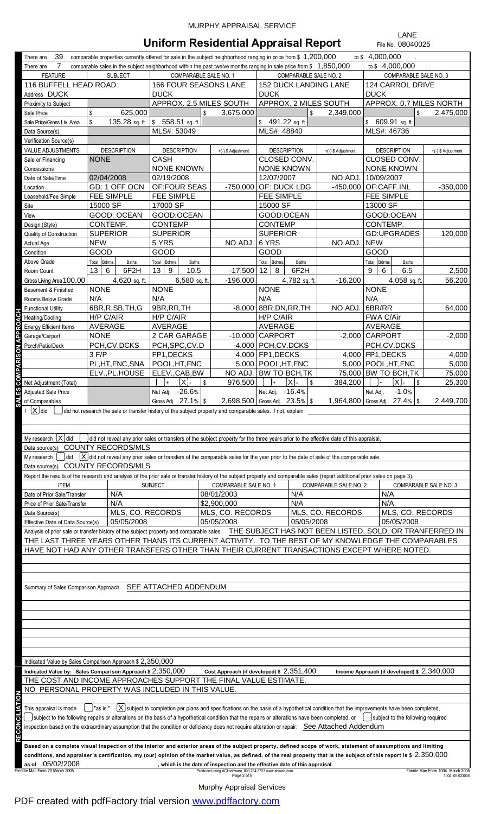### MURPHY APPRAISAL SERVICE

# **Uniform Residential Appraisal Report** File No. 08040025

LANE

|                                                                                                                                                                               | to \$4,000,000<br>comparable properties currently offered for sale in the subject neighborhood ranging in price from \$1,200,000 |                    |                                    |                                                                                                                                                  |                            |                        |                        |                  |                                             |                                 |
|-------------------------------------------------------------------------------------------------------------------------------------------------------------------------------|----------------------------------------------------------------------------------------------------------------------------------|--------------------|------------------------------------|--------------------------------------------------------------------------------------------------------------------------------------------------|----------------------------|------------------------|------------------------|------------------|---------------------------------------------|---------------------------------|
| 39<br>There are                                                                                                                                                               |                                                                                                                                  |                    |                                    |                                                                                                                                                  |                            |                        |                        |                  |                                             |                                 |
| 7<br>There are                                                                                                                                                                |                                                                                                                                  |                    |                                    | comparable sales in the subject neighborhood within the past twelve months ranging in sale price from \$ 1,850,000                               |                            |                        |                        |                  | to \$4,000,000                              |                                 |
| <b>FEATURE</b>                                                                                                                                                                |                                                                                                                                  | <b>SUBJECT</b>     |                                    | COMPARABLE SALE NO. 1                                                                                                                            |                            | COMPARABLE SALE NO. 2  |                        |                  | COMPARABLE SALE NO. 3                       |                                 |
| 116 BUFFELL HEAD ROAD                                                                                                                                                         |                                                                                                                                  |                    | 166 FOUR SEASONS LANE              |                                                                                                                                                  | 152 DUCK LANDING LANE      |                        |                        | 124 CARROL DRIVE |                                             |                                 |
| Address DUCK                                                                                                                                                                  |                                                                                                                                  |                    | <b>DUCK</b>                        |                                                                                                                                                  | <b>DUCK</b>                |                        | <b>DUCK</b>            |                  |                                             |                                 |
| Proximity to Subject                                                                                                                                                          |                                                                                                                                  |                    |                                    | APPROX. 2.5 MILES SOUTH                                                                                                                          |                            |                        | APPROX. 2 MILES SOUTH  |                  |                                             | APPROX. 0.7 MILES NORTH         |
| Sale Price                                                                                                                                                                    | \$                                                                                                                               | 625,000            |                                    | \$<br>3,675,000                                                                                                                                  |                            | \$                     | 2,349,000              |                  | \$                                          | 2,475,000                       |
| Sale Price/Gross Liv. Area                                                                                                                                                    | \$                                                                                                                               |                    | 135.28 sq. ft.   \$ 558.51 sq. ft. |                                                                                                                                                  | \$491.22 sq. ft.           |                        |                        |                  | \$ 609.91 sq. ft.                           |                                 |
| Data Source(s)                                                                                                                                                                |                                                                                                                                  |                    | MLS#: 53049                        |                                                                                                                                                  | MLS#: 48840                |                        |                        |                  | MLS#: 46736                                 |                                 |
| Verification Source(s)                                                                                                                                                        |                                                                                                                                  |                    |                                    |                                                                                                                                                  |                            |                        |                        |                  |                                             |                                 |
| <b>VALUE ADJUSTMENTS</b>                                                                                                                                                      |                                                                                                                                  | <b>DESCRIPTION</b> | <b>DESCRIPTION</b>                 | +(-) \$ Adjustment                                                                                                                               | <b>DESCRIPTION</b>         |                        | +(-) \$ Adjustment     |                  | <b>DESCRIPTION</b>                          | +(-) \$ Adjustment              |
| Sale or Financing                                                                                                                                                             | <b>NONE</b>                                                                                                                      |                    | <b>CASH</b>                        |                                                                                                                                                  | CLOSED CONV.               |                        |                        |                  | CLOSED CONV.                                |                                 |
|                                                                                                                                                                               |                                                                                                                                  |                    |                                    |                                                                                                                                                  |                            |                        |                        |                  |                                             |                                 |
| Concessions                                                                                                                                                                   |                                                                                                                                  |                    | <b>NONE KNOWN</b>                  |                                                                                                                                                  | <b>NONE KNOWN</b>          |                        |                        |                  | <b>NONE KNOWN</b>                           |                                 |
| Date of Sale/Time                                                                                                                                                             |                                                                                                                                  | 02/04/2008         | 02/19/2008                         |                                                                                                                                                  | 12/07/2007                 |                        | NO ADJ.                |                  | 10/09/2007                                  |                                 |
| Location                                                                                                                                                                      |                                                                                                                                  | GD: 1 OFF OCN      | OF:FOUR SEAS                       | $-750,000$                                                                                                                                       | <b>OF: DUCK LDG</b>        |                        | -450,000 OF: CAFF. INL |                  |                                             | $-350,000$                      |
| Leasehold/Fee Simple                                                                                                                                                          |                                                                                                                                  | <b>FEE SIMPLE</b>  | <b>FEE SIMPLE</b>                  |                                                                                                                                                  | <b>FEE SIMPLE</b>          |                        |                        |                  | <b>FEE SIMPLE</b>                           |                                 |
| Site                                                                                                                                                                          | 15000 SF                                                                                                                         |                    | 17000 SF                           |                                                                                                                                                  | 15000 SF                   |                        |                        | 13000 SF         |                                             |                                 |
| View                                                                                                                                                                          |                                                                                                                                  | GOOD: OCEAN        | GOOD:OCEAN                         |                                                                                                                                                  | GOOD:OCEAN                 |                        |                        |                  | GOOD:OCEAN                                  |                                 |
| Design (Style)                                                                                                                                                                |                                                                                                                                  | CONTEMP.           | <b>CONTEMP</b>                     |                                                                                                                                                  | <b>CONTEMP</b>             |                        |                        |                  | CONTEMP.                                    |                                 |
| Quality of Construction                                                                                                                                                       |                                                                                                                                  | <b>SUPERIOR</b>    | <b>SUPERIOR</b>                    |                                                                                                                                                  | <b>SUPERIOR</b>            |                        |                        |                  | <b>GD:UPGRADES</b>                          | 120,000                         |
| Actual Age                                                                                                                                                                    | <b>NEW</b>                                                                                                                       |                    | 5 YRS                              | NO ADJ.                                                                                                                                          | 6 YRS                      |                        | NO ADJ.                | <b>NEW</b>       |                                             |                                 |
| Condition                                                                                                                                                                     | GOOD                                                                                                                             |                    | GOOD                               |                                                                                                                                                  | GOOD                       |                        |                        | GOOD             |                                             |                                 |
|                                                                                                                                                                               |                                                                                                                                  |                    |                                    |                                                                                                                                                  |                            |                        |                        |                  |                                             |                                 |
| Above Grade                                                                                                                                                                   | Total Bdrms.                                                                                                                     | Baths              | Total Bdrms.<br>Baths              |                                                                                                                                                  | Total Bdrms.               | Baths                  |                        | Total            | Bdrms.<br>Baths                             |                                 |
| Room Count                                                                                                                                                                    | 13<br>6                                                                                                                          | 6F <sub>2</sub> H  | 9<br>13<br>10.5                    | $-17,500$                                                                                                                                        | 8<br>12                    | 6F2H                   |                        | 9                | 6.5<br>6                                    | 2,500                           |
| Gross Living Area 100.00                                                                                                                                                      |                                                                                                                                  | 4,620 sq. ft.      | 6,580 sq. ft.                      | $-196,000$                                                                                                                                       |                            | 4,782 sq. ft.          | $-16,200$              |                  | 4,058 sq. ft.                               | 56,200                          |
| Basement & Finished                                                                                                                                                           | <b>NONE</b>                                                                                                                      |                    | <b>NONE</b>                        |                                                                                                                                                  | <b>NONE</b>                |                        |                        | <b>NONE</b>      |                                             |                                 |
| Rooms Below Grade                                                                                                                                                             | N/A                                                                                                                              |                    | N/A                                |                                                                                                                                                  | N/A                        |                        |                        | N/A              |                                             |                                 |
| <b>Functional Utility</b>                                                                                                                                                     |                                                                                                                                  | 6BR, R, SB, TH, G  | 9BR, RR, TH                        |                                                                                                                                                  | $-8,000$   8BR, DN, RR, TH |                        | NO ADJ.                | 6BR/RR           |                                             | 64,000                          |
| Heating/Cooling                                                                                                                                                               | H/P C/AIR                                                                                                                        |                    | H/P C/AIR                          |                                                                                                                                                  | H/P C/AIR                  |                        |                        |                  | <b>FWA C/Air</b>                            |                                 |
| <b>Energy Efficient Items</b>                                                                                                                                                 | <b>AVERAGE</b>                                                                                                                   |                    | AVERAGE                            |                                                                                                                                                  | <b>AVERAGE</b>             |                        |                        |                  | AVERAGE                                     |                                 |
| Garage/Carport                                                                                                                                                                | <b>NONE</b>                                                                                                                      |                    | 2 CAR GARAGE                       | $-10,000$                                                                                                                                        | <b>CARPORT</b>             |                        | $-2,000$ CARPORT       |                  |                                             | $-2,000$                        |
| Porch/Patio/Deck                                                                                                                                                              |                                                                                                                                  | PCH, CV. DCKS      | PCH, SPC, CV.D                     |                                                                                                                                                  | $-4,000$ PCH, CV. DCKS     |                        |                        |                  | PCH, CV. DCKS                               |                                 |
|                                                                                                                                                                               | $3$ F/P                                                                                                                          |                    | FP1, DECKS                         |                                                                                                                                                  | 4,000 FP1, DECKS           |                        |                        |                  | $4,000$ FP1, DECKS                          | 4,000                           |
|                                                                                                                                                                               |                                                                                                                                  | PL, HT, FNC, SNA   | POOL, HT, FNC                      |                                                                                                                                                  | $5,000$ POOL, HT, FNC      |                        |                        |                  | $5,000$ POOL, HT, FNC                       | 5,000                           |
|                                                                                                                                                                               |                                                                                                                                  | ELV., PL. HOUSE    | ELEV., CAB, BW                     | NO ADJ.                                                                                                                                          | BW TO BCH, TK              |                        |                        |                  | 75,000 BW TO BCH, TK                        | 75,000                          |
| COM                                                                                                                                                                           |                                                                                                                                  |                    | $\overline{[X]}$<br>$+$            | \$<br>976,500                                                                                                                                    | $+$                        | $\overline{[x]}$<br>\$ | 384,200                | $ + $            | $\sqrt{}$ .<br>\$                           | 25,300                          |
| Net Adjustment (Total)                                                                                                                                                        |                                                                                                                                  |                    |                                    |                                                                                                                                                  |                            |                        |                        |                  |                                             |                                 |
| ၯ<br><b>Adjusted Sale Price</b>                                                                                                                                               |                                                                                                                                  |                    | Net Adj. - 26.6%                   |                                                                                                                                                  | Net Adj. - 16.4%           |                        |                        | Net Adj.         | $-1.0%$                                     |                                 |
| of Comparables                                                                                                                                                                |                                                                                                                                  |                    | Gross Adj. 27.1% \$                | 2,698,500 Gross Adj. 23.5% \$                                                                                                                    |                            |                        | 1,964,800 Gross Adj.   |                  | $27.4\%$ \$                                 | 2,449,700                       |
|                                                                                                                                                                               |                                                                                                                                  |                    |                                    | did not research the sale or transfer history of the subject property and comparable sales. If not, explain                                      |                            |                        |                        |                  |                                             |                                 |
| $\left[\overline{X}\right]$ did                                                                                                                                               |                                                                                                                                  |                    |                                    |                                                                                                                                                  |                            |                        |                        |                  |                                             |                                 |
|                                                                                                                                                                               |                                                                                                                                  |                    |                                    |                                                                                                                                                  |                            |                        |                        |                  |                                             |                                 |
|                                                                                                                                                                               |                                                                                                                                  |                    |                                    |                                                                                                                                                  |                            |                        |                        |                  |                                             |                                 |
| My research $[X]$ did                                                                                                                                                         |                                                                                                                                  |                    |                                    | did not reveal any prior sales or transfers of the subject property for the three years prior to the effective date of this appraisal.           |                            |                        |                        |                  |                                             |                                 |
| Data source(s) COUNTY RECORDS/MLS                                                                                                                                             |                                                                                                                                  |                    |                                    |                                                                                                                                                  |                            |                        |                        |                  |                                             |                                 |
| My research                                                                                                                                                                   |                                                                                                                                  |                    |                                    | $ $ did $ X $ did not reveal any prior sales or transfers of the comparable sales for the year prior to the date of sale of the comparable sale. |                            |                        |                        |                  |                                             |                                 |
| Data source(s) COUNTY RECORDS/MLS                                                                                                                                             |                                                                                                                                  |                    |                                    |                                                                                                                                                  |                            |                        |                        |                  |                                             |                                 |
| Report the results of the research and analysis of the prior sale or transfer history of the subject property and comparable sales (report additional prior sales on page 3). |                                                                                                                                  |                    |                                    |                                                                                                                                                  |                            |                        |                        |                  |                                             |                                 |
| <b>ITEM</b>                                                                                                                                                                   |                                                                                                                                  |                    | <b>SUBJECT</b>                     | COMPARABLE SALE NO. 1                                                                                                                            |                            |                        | COMPARABLE SALE NO. 2  |                  |                                             | COMPARABLE SALE NO. 3           |
| Date of Prior Sale/Transfer                                                                                                                                                   |                                                                                                                                  | N/A                |                                    | 08/01/2003                                                                                                                                       |                            | N/A                    |                        |                  | N/A                                         |                                 |
| Price of Prior Sale/Transfer                                                                                                                                                  |                                                                                                                                  | N/A                |                                    | \$2,900,000                                                                                                                                      |                            | N/A                    |                        |                  | N/A                                         |                                 |
|                                                                                                                                                                               |                                                                                                                                  |                    |                                    |                                                                                                                                                  |                            |                        |                        |                  |                                             |                                 |
| Data Source(s)                                                                                                                                                                |                                                                                                                                  | MLS, CO. RECORDS   |                                    | MLS, CO. RECORDS<br>05/05/2008                                                                                                                   |                            |                        | MLS, CO. RECORDS       |                  | MLS, CO. RECORDS                            |                                 |
| Effective Date of Data Source(s)                                                                                                                                              |                                                                                                                                  | 05/05/2008         |                                    |                                                                                                                                                  |                            | 05/05/2008             |                        |                  | 05/05/2008                                  |                                 |
| Analysis of prior sale or transfer history of the subject property and comparable sales THE SUBJECT HAS NOT BEEN LISTED, SOLD, OR TRANFERRED IN                               |                                                                                                                                  |                    |                                    |                                                                                                                                                  |                            |                        |                        |                  |                                             |                                 |
| THE LAST THREE YEARS OTHER THANS ITS CURRENT ACTIVITY. TO THE BEST OF MY KNOWLEDGE THE COMPARABLES                                                                            |                                                                                                                                  |                    |                                    |                                                                                                                                                  |                            |                        |                        |                  |                                             |                                 |
| HAVE NOT HAD ANY OTHER TRANSFERS OTHER THAN THEIR CURRENT TRANSACTIONS EXCEPT WHERE NOTED.                                                                                    |                                                                                                                                  |                    |                                    |                                                                                                                                                  |                            |                        |                        |                  |                                             |                                 |
|                                                                                                                                                                               |                                                                                                                                  |                    |                                    |                                                                                                                                                  |                            |                        |                        |                  |                                             |                                 |
|                                                                                                                                                                               |                                                                                                                                  |                    |                                    |                                                                                                                                                  |                            |                        |                        |                  |                                             |                                 |
|                                                                                                                                                                               |                                                                                                                                  |                    |                                    |                                                                                                                                                  |                            |                        |                        |                  |                                             |                                 |
| Summary of Sales Comparison Approach.                                                                                                                                         |                                                                                                                                  |                    | SEE ATTACHED ADDENDUM              |                                                                                                                                                  |                            |                        |                        |                  |                                             |                                 |
|                                                                                                                                                                               |                                                                                                                                  |                    |                                    |                                                                                                                                                  |                            |                        |                        |                  |                                             |                                 |
|                                                                                                                                                                               |                                                                                                                                  |                    |                                    |                                                                                                                                                  |                            |                        |                        |                  |                                             |                                 |
|                                                                                                                                                                               |                                                                                                                                  |                    |                                    |                                                                                                                                                  |                            |                        |                        |                  |                                             |                                 |
|                                                                                                                                                                               |                                                                                                                                  |                    |                                    |                                                                                                                                                  |                            |                        |                        |                  |                                             |                                 |
|                                                                                                                                                                               |                                                                                                                                  |                    |                                    |                                                                                                                                                  |                            |                        |                        |                  |                                             |                                 |
|                                                                                                                                                                               |                                                                                                                                  |                    |                                    |                                                                                                                                                  |                            |                        |                        |                  |                                             |                                 |
|                                                                                                                                                                               |                                                                                                                                  |                    |                                    |                                                                                                                                                  |                            |                        |                        |                  |                                             |                                 |
| Indicated Value by Sales Comparison Approach \$2,350,000                                                                                                                      |                                                                                                                                  |                    |                                    |                                                                                                                                                  |                            |                        |                        |                  |                                             |                                 |
| Indicated Value by: Sales Comparison Approach \$ 2,350,000 Cost Approach (if developed) \$ 2,351,400                                                                          |                                                                                                                                  |                    |                                    |                                                                                                                                                  |                            |                        |                        |                  | Income Approach (if developed) \$ 2,340,000 |                                 |
| THE COST AND INCOME APPROACHES SUPPORT THE FINAL VALUE ESTIMATE.                                                                                                              |                                                                                                                                  |                    |                                    |                                                                                                                                                  |                            |                        |                        |                  |                                             |                                 |
| NO PERSONAL PROPERTY WAS INCLUDED IN THIS VALUE.                                                                                                                              |                                                                                                                                  |                    |                                    |                                                                                                                                                  |                            |                        |                        |                  |                                             |                                 |
|                                                                                                                                                                               |                                                                                                                                  |                    |                                    |                                                                                                                                                  |                            |                        |                        |                  |                                             |                                 |
| This appraisal is made                                                                                                                                                        | l"as is."                                                                                                                        |                    |                                    |                                                                                                                                                  |                            |                        |                        |                  |                                             |                                 |
|                                                                                                                                                                               |                                                                                                                                  |                    |                                    | $ X $ subject to completion per plans and specifications on the basis of a hypothetical condition that the improvements have been completed,     |                            |                        |                        |                  | subject to the following required           |                                 |
| Subject to the following repairs or alterations on the basis of a hypothetical condition that the repairs or alterations have been completed, or                              |                                                                                                                                  |                    |                                    |                                                                                                                                                  |                            |                        |                        |                  |                                             |                                 |
| inspection based on the extraordinary assumption that the condition or deficiency does not require alteration or repair: See Attached Addendum                                |                                                                                                                                  |                    |                                    |                                                                                                                                                  |                            |                        |                        |                  |                                             |                                 |
| <b>ECONGILIA</b>                                                                                                                                                              |                                                                                                                                  |                    |                                    |                                                                                                                                                  |                            |                        |                        |                  |                                             |                                 |
| Based on a complete visual inspection of the interior and exterior areas of the subject property, defined scope of work, statement of assumptions and limiting                |                                                                                                                                  |                    |                                    |                                                                                                                                                  |                            |                        |                        |                  |                                             |                                 |
| conditions, and appraiser's certification, my (our) opinion of the market value, as defined, of the real property that is the subject of this report is \$ 2,350,000          |                                                                                                                                  |                    |                                    |                                                                                                                                                  |                            |                        |                        |                  |                                             |                                 |
| as of $05/02/2008$<br>Freddie Mac Form 70 March 2005                                                                                                                          |                                                                                                                                  |                    |                                    | which is the date of inspection and the effective date of this appraisal.<br>Produced using ACI software, 800.234.8727 www.aciweb.com            |                            |                        |                        |                  |                                             | Fannie Mae Form 1004 March 2005 |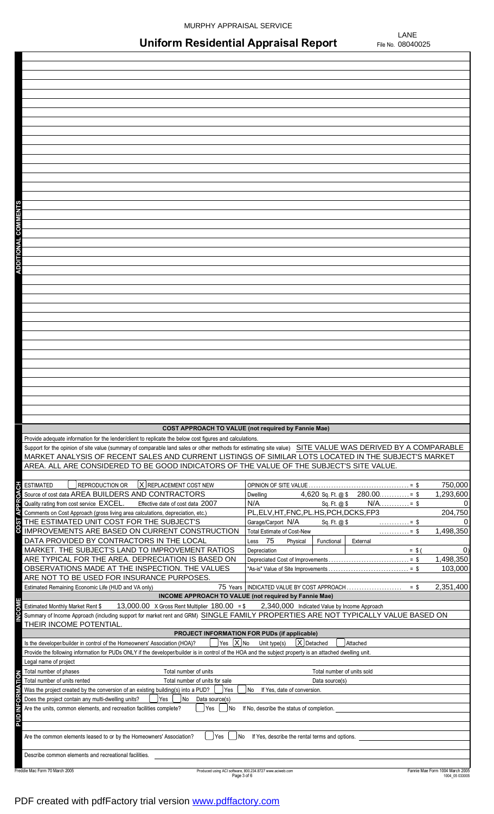| <b>ADDITIONAL COMMENTS</b>                                                                                                                                                                       |                                                                                                                   |                          |
|--------------------------------------------------------------------------------------------------------------------------------------------------------------------------------------------------|-------------------------------------------------------------------------------------------------------------------|--------------------------|
|                                                                                                                                                                                                  |                                                                                                                   |                          |
|                                                                                                                                                                                                  |                                                                                                                   |                          |
|                                                                                                                                                                                                  |                                                                                                                   |                          |
|                                                                                                                                                                                                  |                                                                                                                   |                          |
|                                                                                                                                                                                                  |                                                                                                                   |                          |
|                                                                                                                                                                                                  |                                                                                                                   |                          |
|                                                                                                                                                                                                  |                                                                                                                   |                          |
|                                                                                                                                                                                                  |                                                                                                                   |                          |
|                                                                                                                                                                                                  |                                                                                                                   |                          |
|                                                                                                                                                                                                  |                                                                                                                   |                          |
|                                                                                                                                                                                                  |                                                                                                                   |                          |
|                                                                                                                                                                                                  |                                                                                                                   |                          |
|                                                                                                                                                                                                  |                                                                                                                   |                          |
|                                                                                                                                                                                                  |                                                                                                                   |                          |
|                                                                                                                                                                                                  |                                                                                                                   |                          |
|                                                                                                                                                                                                  |                                                                                                                   |                          |
|                                                                                                                                                                                                  |                                                                                                                   |                          |
|                                                                                                                                                                                                  |                                                                                                                   |                          |
|                                                                                                                                                                                                  |                                                                                                                   |                          |
|                                                                                                                                                                                                  |                                                                                                                   |                          |
|                                                                                                                                                                                                  |                                                                                                                   |                          |
|                                                                                                                                                                                                  | COST APPROACH TO VALUE (not required by Fannie Mae)                                                               |                          |
| Provide adequate information for the lender/client to replicate the below cost figures and calculations.                                                                                         |                                                                                                                   |                          |
| Support for the opinion of site value (summary of comparable land sales or other methods for estimating site value) SITE VALUE WAS DERIVED BY A COMPARABLE                                       |                                                                                                                   |                          |
| MARKET ANALYSIS OF RECENT SALES AND CURRENT LISTINGS OF SIMILAR LOTS LOCATED IN THE SUBJECT'S MARKET<br>AREA. ALL ARE CONSIDERED TO BE GOOD INDICATORS OF THE VALUE OF THE SUBJECT'S SITE VALUE. |                                                                                                                   |                          |
|                                                                                                                                                                                                  |                                                                                                                   |                          |
| $[X]$ REPLACEMENT COST NEW<br>REPRODUCTION OR<br><b>ESTIMATED</b>                                                                                                                                |                                                                                                                   | 750,000                  |
| Source of cost data AREA BUILDERS AND CONTRACTORS                                                                                                                                                | 4,620 Sq. Ft. @ \$280.00 = \$<br>Dwelling                                                                         | 1.293.600                |
| PROACH<br>Quality rating from cost service EXCEL.<br>Effective date of cost data 2007                                                                                                            | N/A<br>$N/A$ = \$<br>Sq. Ft. @ \$                                                                                 |                          |
| Comments on Cost Approach (gross living area calculations, depreciation, etc.)<br>×                                                                                                              | PL, ELV, HT, FNC, PL. HS, PCH, DCKS, FP3                                                                          | 204,750                  |
| THE ESTIMATED UNIT COST FOR THE SUBJECT'S                                                                                                                                                        | Garage/Carport N/A<br>Sq. Ft. @ \$<br>$\ldots \ldots \ldots =$ \$                                                 | 0                        |
| COST<br>IMPROVEMENTS ARE BASED ON CURRENT CONSTRUCTION                                                                                                                                           | <b>Total Estimate of Cost-New</b><br>$\ldots \ldots \ldots =$ \$<br>Less 75<br>Functional<br>External<br>Physical | 1,498,350                |
| DATA PROVIDED BY CONTRACTORS IN THE LOCAL<br>MARKET. THE SUBJECT'S LAND TO IMPROVEMENT RATIOS                                                                                                    | Depreciation                                                                                                      | $\mathbf{0}$<br>$=$ \$ ( |
| ARE TYPICAL FOR THE AREA. DEPRECIATION IS BASED ON                                                                                                                                               |                                                                                                                   | 1,498,350                |
| OBSERVATIONS MADE AT THE INSPECTION. THE VALUES                                                                                                                                                  |                                                                                                                   | 103,000                  |
| ARE NOT TO BE USED FOR INSURANCE PURPOSES.                                                                                                                                                       |                                                                                                                   |                          |
| Estimated Remaining Economic Life (HUD and VA only)                                                                                                                                              | 75 Years   INDICATED VALUE BY COST APPROACH                                                                       | 2,351,400<br>$=$ \$      |
|                                                                                                                                                                                                  | INCOME APPROACH TO VALUE (not required by Fannie Mae)                                                             |                          |
| Estimated Monthly Market Rent \$                                                                                                                                                                 | 13,000.00 X Gross Rent Multiplier 180.00 = \$2,340,000 Indicated Value by Income Approach                         |                          |
| Summary of Income Approach (including support for market rent and GRM) SINGLE FAMILY PROPERTIES ARE NOT TYPICALLY VALUE BASED ON<br>THEIR INCOME POTENTIAL.                                      |                                                                                                                   |                          |
| <b>Noch</b>                                                                                                                                                                                      | <b>PROJECT INFORMATION FOR PUDs (if applicable)</b>                                                               |                          |
| $ X $ No<br>Is the developer/builder in control of the Homeowners' Association (HOA)?<br>Yes                                                                                                     | X Detached<br>Attached<br>Unit type(s)                                                                            |                          |
| Provide the following information for PUDs ONLY if the developer/builder is in control of the HOA and the subject property is an attached dwelling unit.                                         |                                                                                                                   |                          |
| Legal name of project                                                                                                                                                                            |                                                                                                                   |                          |
| Total number of phases<br>Total number of units<br>c                                                                                                                                             | Total number of units sold                                                                                        |                          |
| Total number of units rented<br>Total number of units for sale<br>Yes                                                                                                                            | Data source(s)<br>If Yes, date of conversion.<br> No                                                              |                          |
| Was the project created by the conversion of an existing building(s) into a PUD?<br>Does the project contain any multi-dwelling units?<br><b>Yes</b><br>l No<br>Data source(s)                   |                                                                                                                   |                          |
| P<br>Are the units, common elements, and recreation facilities complete?<br>Yes<br>  No                                                                                                          | If No, describe the status of completion.                                                                         |                          |
| a                                                                                                                                                                                                |                                                                                                                   |                          |
| Ē                                                                                                                                                                                                |                                                                                                                   |                          |
| Are the common elements leased to or by the Homeowners' Association?<br>Yes<br>l No                                                                                                              | If Yes, describe the rental terms and options.                                                                    |                          |
|                                                                                                                                                                                                  |                                                                                                                   |                          |
| Describe common elements and recreational facilities.                                                                                                                                            |                                                                                                                   |                          |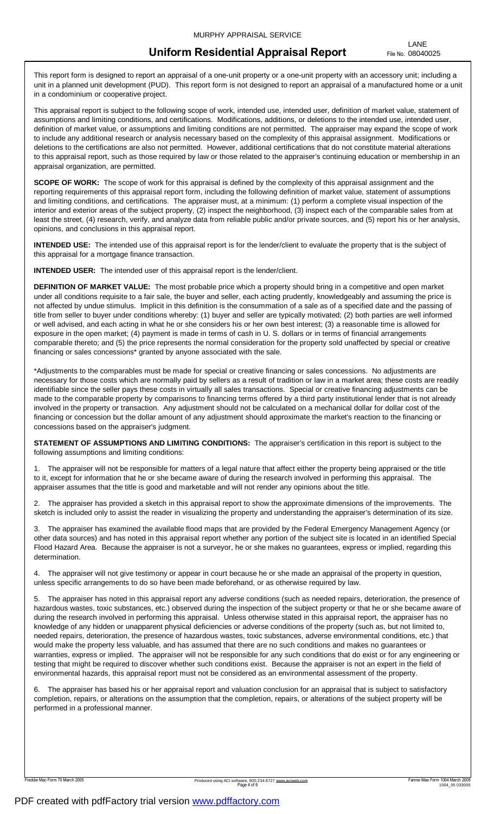File No. 08040025 LANE

This report form is designed to report an appraisal of a one-unit property or a one-unit property with an accessory unit; including a unit in a planned unit development (PUD). This report form is not designed to report an appraisal of a manufactured home or a unit in a condominium or cooperative project.

This appraisal report is subject to the following scope of work, intended use, intended user, definition of market value, statement of assumptions and limiting conditions, and certifications. Modifications, additions, or deletions to the intended use, intended user, definition of market value, or assumptions and limiting conditions are not permitted. The appraiser may expand the scope of work to include any additional research or analysis necessary based on the complexity of this appraisal assignment. Modifications or deletions to the certifications are also not permitted. However, additional certifications that do not constitute material alterations to this appraisal report, such as those required by law or those related to the appraiser's continuing education or membership in an appraisal organization, are permitted.

**SCOPE OF WORK:** The scope of work for this appraisal is defined by the complexity of this appraisal assignment and the reporting requirements of this appraisal report form, including the following definition of market value, statement of assumptions and limiting conditions, and certifications. The appraiser must, at a minimum: (1) perform a complete visual inspection of the interior and exterior areas of the subject property, (2) inspect the neighborhood, (3) inspect each of the comparable sales from at least the street, (4) research, verify, and analyze data from reliable public and/or private sources, and (5) report his or her analysis, opinions, and conclusions in this appraisal report.

**INTENDED USE:** The intended use of this appraisal report is for the lender/client to evaluate the property that is the subject of this appraisal for a mortgage finance transaction.

**INTENDED USER:** The intended user of this appraisal report is the lender/client.

**DEFINITION OF MARKET VALUE:** The most probable price which a property should bring in a competitive and open market under all conditions requisite to a fair sale, the buyer and seller, each acting prudently, knowledgeably and assuming the price is not affected by undue stimulus. Implicit in this definition is the consummation of a sale as of a specified date and the passing of title from seller to buyer under conditions whereby: (1) buyer and seller are typically motivated; (2) both parties are well informed or well advised, and each acting in what he or she considers his or her own best interest; (3) a reasonable time is allowed for exposure in the open market; (4) payment is made in terms of cash in U. S. dollars or in terms of financial arrangements comparable thereto; and (5) the price represents the normal consideration for the property sold unaffected by special or creative financing or sales concessions\* granted by anyone associated with the sale.

\*Adjustments to the comparables must be made for special or creative financing or sales concessions. No adjustments are necessary for those costs which are normally paid by sellers as a result of tradition or law in a market area; these costs are readily identifiable since the seller pays these costs in virtually all sales transactions. Special or creative financing adjustments can be made to the comparable property by comparisons to financing terms offered by a third party institutional lender that is not already involved in the property or transaction. Any adjustment should not be calculated on a mechanical dollar for dollar cost of the financing or concession but the dollar amount of any adjustment should approximate the market's reaction to the financing or concessions based on the appraiser's judgment.

**STATEMENT OF ASSUMPTIONS AND LIMITING CONDITIONS:** The appraiser's certification in this report is subject to the following assumptions and limiting conditions:

1. The appraiser will not be responsible for matters of a legal nature that affect either the property being appraised or the title to it, except for information that he or she became aware of during the research involved in performing this appraisal. The appraiser assumes that the title is good and marketable and will not render any opinions about the title.

2. The appraiser has provided a sketch in this appraisal report to show the approximate dimensions of the improvements. The sketch is included only to assist the reader in visualizing the property and understanding the appraiser's determination of its size.

3. The appraiser has examined the available flood maps that are provided by the Federal Emergency Management Agency (or other data sources) and has noted in this appraisal report whether any portion of the subject site is located in an identified Special Flood Hazard Area. Because the appraiser is not a surveyor, he or she makes no guarantees, express or implied, regarding this determination.

4. The appraiser will not give testimony or appear in court because he or she made an appraisal of the property in question, unless specific arrangements to do so have been made beforehand, or as otherwise required by law.

5. The appraiser has noted in this appraisal report any adverse conditions (such as needed repairs, deterioration, the presence of hazardous wastes, toxic substances, etc.) observed during the inspection of the subject property or that he or she became aware of during the research involved in performing this appraisal. Unless otherwise stated in this appraisal report, the appraiser has no knowledge of any hidden or unapparent physical deficiencies or adverse conditions of the property (such as, but not limited to, needed repairs, deterioration, the presence of hazardous wastes, toxic substances, adverse environmental conditions, etc.) that would make the property less valuable, and has assumed that there are no such conditions and makes no guarantees or warranties, express or implied. The appraiser will not be responsible for any such conditions that do exist or for any engineering or testing that might be required to discover whether such conditions exist. Because the appraiser is not an expert in the field of environmental hazards, this appraisal report must not be considered as an environmental assessment of the property.

6. The appraiser has based his or her appraisal report and valuation conclusion for an appraisal that is subject to satisfactory completion, repairs, or alterations on the assumption that the completion, repairs, or alterations of the subject property will be performed in a professional manner.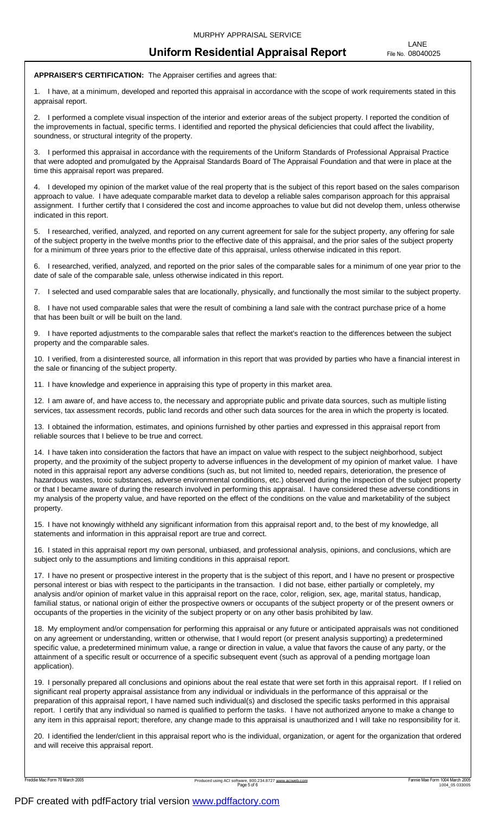#### **APPRAISER'S CERTIFICATION:** The Appraiser certifies and agrees that:

1. I have, at a minimum, developed and reported this appraisal in accordance with the scope of work requirements stated in this appraisal report.

2. I performed a complete visual inspection of the interior and exterior areas of the subject property. I reported the condition of the improvements in factual, specific terms. I identified and reported the physical deficiencies that could affect the livability, soundness, or structural integrity of the property.

3. I performed this appraisal in accordance with the requirements of the Uniform Standards of Professional Appraisal Practice that were adopted and promulgated by the Appraisal Standards Board of The Appraisal Foundation and that were in place at the time this appraisal report was prepared.

4. I developed my opinion of the market value of the real property that is the subject of this report based on the sales comparison approach to value. I have adequate comparable market data to develop a reliable sales comparison approach for this appraisal assignment. I further certify that I considered the cost and income approaches to value but did not develop them, unless otherwise indicated in this report.

5. I researched, verified, analyzed, and reported on any current agreement for sale for the subject property, any offering for sale of the subject property in the twelve months prior to the effective date of this appraisal, and the prior sales of the subject property for a minimum of three years prior to the effective date of this appraisal, unless otherwise indicated in this report.

6. I researched, verified, analyzed, and reported on the prior sales of the comparable sales for a minimum of one year prior to the date of sale of the comparable sale, unless otherwise indicated in this report.

7. I selected and used comparable sales that are locationally, physically, and functionally the most similar to the subject property.

8. I have not used comparable sales that were the result of combining a land sale with the contract purchase price of a home that has been built or will be built on the land.

I have reported adjustments to the comparable sales that reflect the market's reaction to the differences between the subject property and the comparable sales.

10. I verified, from a disinterested source, all information in this report that was provided by parties who have a financial interest in the sale or financing of the subject property.

11. I have knowledge and experience in appraising this type of property in this market area.

12. I am aware of, and have access to, the necessary and appropriate public and private data sources, such as multiple listing services, tax assessment records, public land records and other such data sources for the area in which the property is located.

13. I obtained the information, estimates, and opinions furnished by other parties and expressed in this appraisal report from reliable sources that I believe to be true and correct.

14. I have taken into consideration the factors that have an impact on value with respect to the subject neighborhood, subject property, and the proximity of the subject property to adverse influences in the development of my opinion of market value. I have noted in this appraisal report any adverse conditions (such as, but not limited to, needed repairs, deterioration, the presence of hazardous wastes, toxic substances, adverse environmental conditions, etc.) observed during the inspection of the subject property or that I became aware of during the research involved in performing this appraisal. I have considered these adverse conditions in my analysis of the property value, and have reported on the effect of the conditions on the value and marketability of the subject property.

15. I have not knowingly withheld any significant information from this appraisal report and, to the best of my knowledge, all statements and information in this appraisal report are true and correct.

16. I stated in this appraisal report my own personal, unbiased, and professional analysis, opinions, and conclusions, which are subject only to the assumptions and limiting conditions in this appraisal report.

17. I have no present or prospective interest in the property that is the subject of this report, and I have no present or prospective personal interest or bias with respect to the participants in the transaction. I did not base, either partially or completely, my analysis and/or opinion of market value in this appraisal report on the race, color, religion, sex, age, marital status, handicap, familial status, or national origin of either the prospective owners or occupants of the subject property or of the present owners or occupants of the properties in the vicinity of the subject property or on any other basis prohibited by law.

18. My employment and/or compensation for performing this appraisal or any future or anticipated appraisals was not conditioned on any agreement or understanding, written or otherwise, that I would report (or present analysis supporting) a predetermined specific value, a predetermined minimum value, a range or direction in value, a value that favors the cause of any party, or the attainment of a specific result or occurrence of a specific subsequent event (such as approval of a pending mortgage loan application).

19. I personally prepared all conclusions and opinions about the real estate that were set forth in this appraisal report. If I relied on significant real property appraisal assistance from any individual or individuals in the performance of this appraisal or the preparation of this appraisal report, I have named such individual(s) and disclosed the specific tasks performed in this appraisal report. I certify that any individual so named is qualified to perform the tasks. I have not authorized anyone to make a change to any item in this appraisal report; therefore, any change made to this appraisal is unauthorized and I will take no responsibility for it.

20. I identified the lender/client in this appraisal report who is the individual, organization, or agent for the organization that ordered and will receive this appraisal report.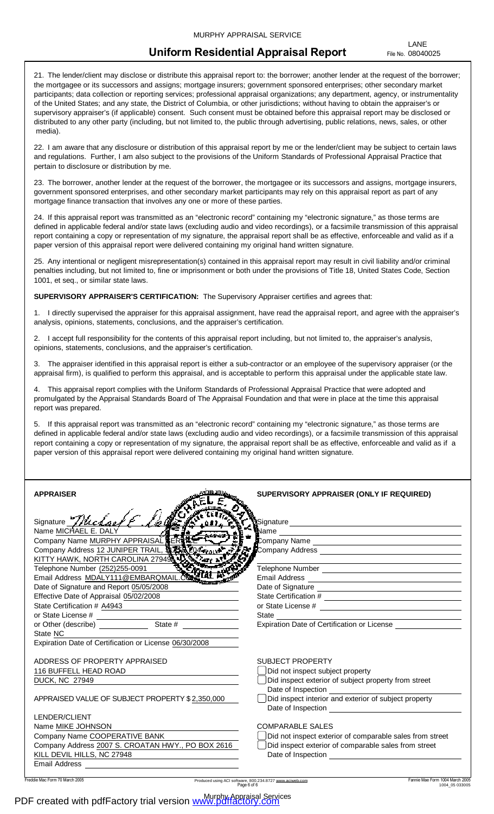File No. 08040025 **LANE** 

21. The lender/client may disclose or distribute this appraisal report to: the borrower; another lender at the request of the borrower; the mortgagee or its successors and assigns; mortgage insurers; government sponsored enterprises; other secondary market participants; data collection or reporting services; professional appraisal organizations; any department, agency, or instrumentality of the United States; and any state, the District of Columbia, or other jurisdictions; without having to obtain the appraiser's or supervisory appraiser's (if applicable) consent. Such consent must be obtained before this appraisal report may be disclosed or distributed to any other party (including, but not limited to, the public through advertising, public relations, news, sales, or other media).

22. I am aware that any disclosure or distribution of this appraisal report by me or the lender/client may be subject to certain laws and regulations. Further, I am also subject to the provisions of the Uniform Standards of Professional Appraisal Practice that pertain to disclosure or distribution by me.

23. The borrower, another lender at the request of the borrower, the mortgagee or its successors and assigns, mortgage insurers, government sponsored enterprises, and other secondary market participants may rely on this appraisal report as part of any mortgage finance transaction that involves any one or more of these parties.

24. If this appraisal report was transmitted as an "electronic record" containing my "electronic signature," as those terms are defined in applicable federal and/or state laws (excluding audio and video recordings), or a facsimile transmission of this appraisal report containing a copy or representation of my signature, the appraisal report shall be as effective, enforceable and valid as if a paper version of this appraisal report were delivered containing my original hand written signature.

25. Any intentional or negligent misrepresentation(s) contained in this appraisal report may result in civil liability and/or criminal penalties including, but not limited to, fine or imprisonment or both under the provisions of Title 18, United States Code, Section 1001, et seq., or similar state laws.

**SUPERVISORY APPRAISER'S CERTIFICATION:** The Supervisory Appraiser certifies and agrees that:

1. I directly supervised the appraiser for this appraisal assignment, have read the appraisal report, and agree with the appraiser's analysis, opinions, statements, conclusions, and the appraiser's certification.

2. I accept full responsibility for the contents of this appraisal report including, but not limited to, the appraiser's analysis, opinions, statements, conclusions, and the appraiser's certification.

3. The appraiser identified in this appraisal report is either a sub-contractor or an employee of the supervisory appraiser (or the appraisal firm), is qualified to perform this appraisal, and is acceptable to perform this appraisal under the applicable state law.

4. This appraisal report complies with the Uniform Standards of Professional Appraisal Practice that were adopted and promulgated by the Appraisal Standards Board of The Appraisal Foundation and that were in place at the time this appraisal report was prepared.

5. If this appraisal report was transmitted as an "electronic record" containing my "electronic signature," as those terms are defined in applicable federal and/or state laws (excluding audio and video recordings), or a facsimile transmission of this appraisal report containing a copy or representation of my signature, the appraisal report shall be as effective, enforceable and valid as if a paper version of this appraisal report were delivered containing my original hand written signature.

| <b>APPRAISER</b>                                                                                                                                                             | SUPERVISORY APPRAISER (ONLY IF REQUIRED)                                                                                                                                                                                                                                                                                                    |
|------------------------------------------------------------------------------------------------------------------------------------------------------------------------------|---------------------------------------------------------------------------------------------------------------------------------------------------------------------------------------------------------------------------------------------------------------------------------------------------------------------------------------------|
| Signature <i>Michael E. Lle</i> .<br>Name MICHAEL E. DALY<br>Company Name MURPHY APPRAISAL SER<br>Company Address 12 JUNIPER TRAIL, STAD<br>KITTY HAWK, NORTH CAROLINA 27949 |                                                                                                                                                                                                                                                                                                                                             |
| Telephone Number (252)255-0091                                                                                                                                               |                                                                                                                                                                                                                                                                                                                                             |
| Email Address MDALY111@EMBARQMAIL.C                                                                                                                                          |                                                                                                                                                                                                                                                                                                                                             |
| Date of Signature and Report 05/05/2008                                                                                                                                      |                                                                                                                                                                                                                                                                                                                                             |
| Effective Date of Appraisal 05/02/2008                                                                                                                                       |                                                                                                                                                                                                                                                                                                                                             |
| State Certification # A4943                                                                                                                                                  |                                                                                                                                                                                                                                                                                                                                             |
|                                                                                                                                                                              |                                                                                                                                                                                                                                                                                                                                             |
|                                                                                                                                                                              | Expiration Date of Certification or License                                                                                                                                                                                                                                                                                                 |
| State NC                                                                                                                                                                     |                                                                                                                                                                                                                                                                                                                                             |
| Expiration Date of Certification or License 06/30/2008                                                                                                                       |                                                                                                                                                                                                                                                                                                                                             |
| ADDRESS OF PROPERTY APPRAISED<br>116 BUFFELL HEAD ROAD<br><b>DUCK, NC 27949</b>                                                                                              | <b>SUBJECT PROPERTY</b><br>Did not inspect subject property<br>Did inspect exterior of subject property from street                                                                                                                                                                                                                         |
| APPRAISED VALUE OF SUBJECT PROPERTY \$2,350,000<br>LENDER/CLIENT                                                                                                             | Date of Inspection <b>Date of Inspection</b><br>Did inspect interior and exterior of subject property<br>Date of Inspection <b>Example 20</b> Figure 20 Figure 20 Figure 20 Figure 20 Figure 20 Figure 20 Figure 20 Figure 20 Figure 20 Figure 20 Figure 20 Figure 20 Figure 20 Figure 20 Figure 20 Figure 20 Figure 20 Figure 20 Figure 20 |
| Name MIKE JOHNSON                                                                                                                                                            | COMPARABLE SALES                                                                                                                                                                                                                                                                                                                            |
| Company Name COOPERATIVE BANK                                                                                                                                                | Did not inspect exterior of comparable sales from street                                                                                                                                                                                                                                                                                    |
| Company Address 2007 S. CROATAN HWY., PO BOX 2616                                                                                                                            | Did inspect exterior of comparable sales from street                                                                                                                                                                                                                                                                                        |
| KILL DEVIL HILLS, NC 27948                                                                                                                                                   |                                                                                                                                                                                                                                                                                                                                             |
| Email Address                                                                                                                                                                |                                                                                                                                                                                                                                                                                                                                             |
|                                                                                                                                                                              |                                                                                                                                                                                                                                                                                                                                             |

Freddie Mac Form 70 March 2005 Produced using ACI software, 800.234.8727 [www.aciweb.com](http://www.aciweb.com) Fannie Mae Form 1004 March 2005<br>Page 6 of 6 Page 6 of 6

1004 05 0330

PDF created with pdfFactory trial version [www.pdffactory.com](http://www.pdffactory.com)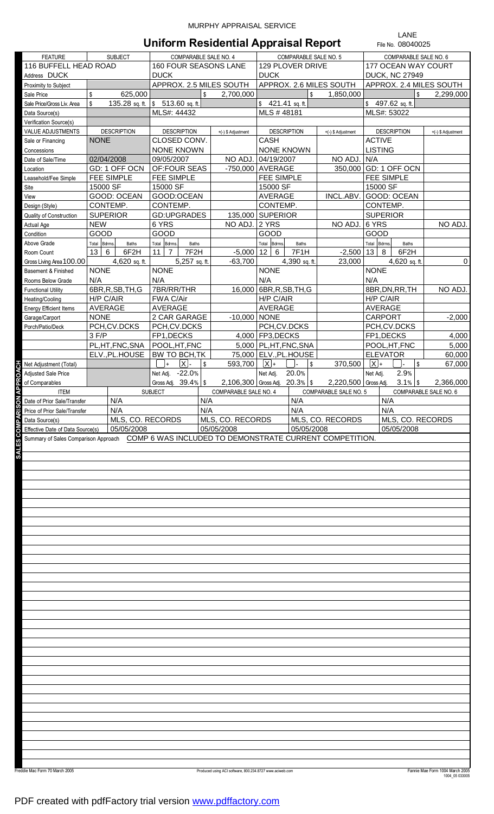### MURPHY APPRAISAL SERVICE

LANE

| Uniform Residential Appraisal Report<br>File No. 08040025                                    |                                                                                           |                                    |                                       |                           |                                                             |                            |                    |                                               |                |                         |                                                   |
|----------------------------------------------------------------------------------------------|-------------------------------------------------------------------------------------------|------------------------------------|---------------------------------------|---------------------------|-------------------------------------------------------------|----------------------------|--------------------|-----------------------------------------------|----------------|-------------------------|---------------------------------------------------|
| <b>FEATURE</b>                                                                               | <b>SUBJECT</b><br>COMPARABLE SALE NO. 4<br>COMPARABLE SALE NO. 5<br>COMPARABLE SALE NO. 6 |                                    |                                       |                           |                                                             |                            |                    |                                               |                |                         |                                                   |
| 116 BUFFELL HEAD ROAD                                                                        |                                                                                           |                                    |                                       |                           | 160 FOUR SEASONS LANE                                       |                            | 129 PLOVER DRIVE   |                                               |                | 177 OCEAN WAY COURT     |                                                   |
| Address DUCK                                                                                 |                                                                                           |                                    | <b>DUCK</b>                           |                           |                                                             | <b>DUCK</b>                |                    |                                               |                | <b>DUCK, NC 27949</b>   |                                                   |
| Proximity to Subject                                                                         |                                                                                           |                                    |                                       |                           | APPROX. 2.5 MILES SOUTH                                     |                            |                    | APPROX. 2.6 MILES SOUTH                       |                | APPROX. 2.4 MILES SOUTH |                                                   |
| Sale Price                                                                                   | \$                                                                                        | 625,000                            |                                       | \$                        | 2,700,000                                                   |                            | \$                 | 1,850,000                                     |                | \$                      | 2,299,000                                         |
| Sale Price/Gross Liv. Area                                                                   | \$                                                                                        | 135.28 sq. ft.   \$ 513.60 sq. ft. |                                       |                           |                                                             | \$ 421.41 sq. ft.          |                    |                                               |                | \$ 497.62 sq. ft.       |                                                   |
| Data Source(s)                                                                               |                                                                                           |                                    | MLS#: 44432                           |                           |                                                             | MLS #48181                 |                    |                                               |                | MLS#: 53022             |                                                   |
| Verification Source(s)                                                                       |                                                                                           |                                    |                                       |                           |                                                             |                            |                    |                                               |                |                         |                                                   |
| <b>VALUE ADJUSTMENTS</b>                                                                     |                                                                                           | <b>DESCRIPTION</b>                 | <b>DESCRIPTION</b>                    |                           | +(-) \$ Adjustment                                          |                            | <b>DESCRIPTION</b> | +(-) \$ Adjustment                            |                | <b>DESCRIPTION</b>      | +(-) \$ Adjustment                                |
| Sale or Financing                                                                            | <b>NONE</b>                                                                               |                                    | CLOSED CONV.                          |                           |                                                             | <b>CASH</b>                |                    |                                               | <b>ACTIVE</b>  |                         |                                                   |
| Concessions                                                                                  |                                                                                           |                                    | NONE KNOWN                            |                           |                                                             | <b>NONE KNOWN</b>          |                    |                                               | <b>LISTING</b> |                         |                                                   |
| Date of Sale/Time                                                                            |                                                                                           | 02/04/2008                         | 09/05/2007                            |                           | NO ADJ.                                                     | 04/19/2007                 |                    | NO ADJ.                                       | I N/A          |                         |                                                   |
| Location                                                                                     |                                                                                           | GD: 1 OFF OCN                      | <b>OF:FOUR SEAS</b>                   |                           | -750,000   AVERAGE                                          |                            |                    |                                               |                | 350,000 GD: 1 OFF OCN   |                                                   |
| Leasehold/Fee Simple                                                                         |                                                                                           | <b>FEE SIMPLE</b>                  | <b>FEE SIMPLE</b>                     |                           |                                                             | FEE SIMPLE                 |                    |                                               |                | <b>FEE SIMPLE</b>       |                                                   |
| Site                                                                                         | 15000 SF                                                                                  |                                    | 15000 SF                              |                           |                                                             | 15000 SF                   |                    |                                               | 15000 SF       |                         |                                                   |
| View                                                                                         |                                                                                           | GOOD: OCEAN                        | GOOD:OCEAN                            |                           |                                                             | <b>AVERAGE</b>             |                    | INCL.ABV.                                     |                | GOOD: OCEAN             |                                                   |
| Design (Style)                                                                               |                                                                                           | CONTEMP.                           | CONTEMP.                              |                           |                                                             | CONTEMP.                   |                    |                                               |                | CONTEMP.                |                                                   |
| Quality of Construction                                                                      |                                                                                           | <b>SUPERIOR</b>                    | <b>GD:UPGRADES</b>                    |                           |                                                             | 135,000 SUPERIOR           |                    |                                               |                | <b>SUPERIOR</b>         |                                                   |
| Actual Age                                                                                   | <b>NEW</b>                                                                                |                                    | 6 YRS                                 |                           | NO ADJ.                                                     | 2 YRS                      |                    | NO ADJ.                                       | 6 YRS          |                         | NO ADJ.                                           |
| Condition                                                                                    | GOOD                                                                                      |                                    | GOOD                                  |                           |                                                             | GOOD                       |                    |                                               | GOOD           |                         |                                                   |
| Above Grade                                                                                  | Total Bdrms.                                                                              | Baths                              | Total<br>Bdrms.                       | Baths                     |                                                             | Total<br>Bdrms.            | Baths              |                                               | Total          | Bdrms.<br>Baths         |                                                   |
| Room Count                                                                                   | 13<br>$6\phantom{1}6$                                                                     | 6F2H                               | 11<br>$\overline{7}$                  | 7F <sub>2</sub> H         | $-5,000$                                                    | 12<br>6                    | 7F1H               | $-2,500$                                      | 13             | 6F2H<br>8               |                                                   |
| Gross Living Area 100.00                                                                     |                                                                                           | 4,620 sq. ft.                      |                                       | 5,257 sq. ft.             | $-63,700$                                                   |                            | 4,390 sq. ft.      | 23,000                                        |                | 4,620 sq. ft.           | 0                                                 |
| Basement & Finished                                                                          | <b>NONE</b>                                                                               |                                    | <b>NONE</b>                           |                           |                                                             | <b>NONE</b>                |                    |                                               | <b>NONE</b>    |                         |                                                   |
| Rooms Below Grade                                                                            | N/A                                                                                       |                                    | N/A                                   |                           |                                                             | N/A                        |                    |                                               | N/A            |                         |                                                   |
| <b>Functional Utility</b>                                                                    |                                                                                           | 6BR, R, SB, TH, G                  | 7BR/RR/THR                            |                           |                                                             | 16,000   6BR, R, SB, TH, G |                    |                                               |                | 8BR, DN, RR, TH         | NO ADJ.                                           |
| Heating/Cooling                                                                              | H/P C/AIR                                                                                 |                                    | FWA C/Air                             |                           |                                                             | H/P C/AIR                  |                    |                                               | H/P C/AIR      |                         |                                                   |
| <b>Energy Efficient Items</b>                                                                | <b>AVERAGE</b>                                                                            |                                    | <b>AVERAGE</b>                        |                           |                                                             | <b>AVERAGE</b>             |                    |                                               |                | AVERAGE                 |                                                   |
| Garage/Carport                                                                               | <b>NONE</b>                                                                               |                                    | 2 CAR GARAGE                          |                           | $-10,000$ NONE                                              |                            |                    |                                               |                | <b>CARPORT</b>          | $-2,000$                                          |
| Porch/Patio/Deck                                                                             |                                                                                           | PCH, CV. DCKS                      | PCH,CV.DCKS                           |                           |                                                             | PCH, CV. DCKS              |                    |                                               |                | PCH,CV.DCKS             |                                                   |
|                                                                                              | $3$ F/P                                                                                   |                                    | FP1, DECKS                            |                           |                                                             | 4,000 FP3, DECKS           |                    |                                               |                | FP1, DECKS              | 4,000                                             |
|                                                                                              |                                                                                           | PL, HT, FNC, SNA                   | POOL, HT, FNC                         |                           |                                                             | $5,000$ PL, HT, FNC, SNA   |                    |                                               |                | POOL, HT, FNC           | 5,000                                             |
|                                                                                              |                                                                                           | ELV., PL. HOUSE                    | BW TO BCH, TK                         |                           |                                                             | 75,000 ELV., PL. HOUSE     |                    |                                               |                | <b>ELEVATOR</b>         | 60,000                                            |
| Net Adjustment (Total)<br>5                                                                  |                                                                                           |                                    |                                       | $\left[\chi\right]$<br>\$ | 593,700                                                     | $ X _{+}$                  | \$                 | 370,500                                       | $[X]_{+}$      | \$                      | 67,000                                            |
| g<br><b>Adjusted Sale Price</b>                                                              |                                                                                           |                                    | Net Adj.                              | $-22.0%$                  |                                                             | Net Adj.                   | 20.0%              |                                               | Net Adj.       | 2.9%                    |                                                   |
| of Comparables<br>₹<br><b>ITEM</b>                                                           |                                                                                           |                                    | Gross Adj. 39.4% \$<br><b>SUBJECT</b> |                           | $2,106,300$ Gross Adj. $20.3\%$ \$<br>COMPARABLE SALE NO. 4 |                            |                    | 2,220,500 Gross Adj.<br>COMPARABLE SALE NO. 5 |                | $3.1\%$ \$              | 2,366,000<br>COMPARABLE SALE NO. 6                |
| б<br>Date of Prior Sale/Transfer                                                             |                                                                                           | N/A                                |                                       | N/A                       |                                                             |                            | N/A                |                                               |                | N/A                     |                                                   |
| Price of Prior Sale/Transfer                                                                 |                                                                                           | N/A                                |                                       | N/A                       |                                                             |                            | N/A                |                                               |                | N/A                     |                                                   |
| PARIS<br>Data Source(s)                                                                      |                                                                                           | MLS, CO. RECORDS                   |                                       |                           | MLS, CO. RECORDS                                            |                            |                    | MLS, CO. RECORDS                              |                | MLS, CO. RECORDS        |                                                   |
| COM<br>Effective Date of Data Source(s)                                                      |                                                                                           | 05/05/2008                         |                                       |                           | 05/05/2008                                                  |                            | 05/05/2008         |                                               |                | 05/05/2008              |                                                   |
| Summary of Sales Comparison Approach COMP 6 WAS INCLUDED TO DEMONSTRATE CURRENT COMPETITION. |                                                                                           |                                    |                                       |                           |                                                             |                            |                    |                                               |                |                         |                                                   |
|                                                                                              |                                                                                           |                                    |                                       |                           |                                                             |                            |                    |                                               |                |                         |                                                   |
| ⋦                                                                                            |                                                                                           |                                    |                                       |                           |                                                             |                            |                    |                                               |                |                         |                                                   |
|                                                                                              |                                                                                           |                                    |                                       |                           |                                                             |                            |                    |                                               |                |                         |                                                   |
|                                                                                              |                                                                                           |                                    |                                       |                           |                                                             |                            |                    |                                               |                |                         |                                                   |
|                                                                                              |                                                                                           |                                    |                                       |                           |                                                             |                            |                    |                                               |                |                         |                                                   |
|                                                                                              |                                                                                           |                                    |                                       |                           |                                                             |                            |                    |                                               |                |                         |                                                   |
|                                                                                              |                                                                                           |                                    |                                       |                           |                                                             |                            |                    |                                               |                |                         |                                                   |
|                                                                                              |                                                                                           |                                    |                                       |                           |                                                             |                            |                    |                                               |                |                         |                                                   |
|                                                                                              |                                                                                           |                                    |                                       |                           |                                                             |                            |                    |                                               |                |                         |                                                   |
|                                                                                              |                                                                                           |                                    |                                       |                           |                                                             |                            |                    |                                               |                |                         |                                                   |
|                                                                                              |                                                                                           |                                    |                                       |                           |                                                             |                            |                    |                                               |                |                         |                                                   |
|                                                                                              |                                                                                           |                                    |                                       |                           |                                                             |                            |                    |                                               |                |                         |                                                   |
|                                                                                              |                                                                                           |                                    |                                       |                           |                                                             |                            |                    |                                               |                |                         |                                                   |
|                                                                                              |                                                                                           |                                    |                                       |                           |                                                             |                            |                    |                                               |                |                         |                                                   |
|                                                                                              |                                                                                           |                                    |                                       |                           |                                                             |                            |                    |                                               |                |                         |                                                   |
|                                                                                              |                                                                                           |                                    |                                       |                           |                                                             |                            |                    |                                               |                |                         |                                                   |
|                                                                                              |                                                                                           |                                    |                                       |                           |                                                             |                            |                    |                                               |                |                         |                                                   |
|                                                                                              |                                                                                           |                                    |                                       |                           |                                                             |                            |                    |                                               |                |                         |                                                   |
|                                                                                              |                                                                                           |                                    |                                       |                           |                                                             |                            |                    |                                               |                |                         |                                                   |
|                                                                                              |                                                                                           |                                    |                                       |                           |                                                             |                            |                    |                                               |                |                         |                                                   |
|                                                                                              |                                                                                           |                                    |                                       |                           |                                                             |                            |                    |                                               |                |                         |                                                   |
|                                                                                              |                                                                                           |                                    |                                       |                           |                                                             |                            |                    |                                               |                |                         |                                                   |
|                                                                                              |                                                                                           |                                    |                                       |                           |                                                             |                            |                    |                                               |                |                         |                                                   |
|                                                                                              |                                                                                           |                                    |                                       |                           |                                                             |                            |                    |                                               |                |                         |                                                   |
|                                                                                              |                                                                                           |                                    |                                       |                           |                                                             |                            |                    |                                               |                |                         |                                                   |
|                                                                                              |                                                                                           |                                    |                                       |                           |                                                             |                            |                    |                                               |                |                         |                                                   |
|                                                                                              |                                                                                           |                                    |                                       |                           |                                                             |                            |                    |                                               |                |                         |                                                   |
|                                                                                              |                                                                                           |                                    |                                       |                           |                                                             |                            |                    |                                               |                |                         |                                                   |
|                                                                                              |                                                                                           |                                    |                                       |                           |                                                             |                            |                    |                                               |                |                         |                                                   |
|                                                                                              |                                                                                           |                                    |                                       |                           |                                                             |                            |                    |                                               |                |                         |                                                   |
|                                                                                              |                                                                                           |                                    |                                       |                           |                                                             |                            |                    |                                               |                |                         |                                                   |
|                                                                                              |                                                                                           |                                    |                                       |                           |                                                             |                            |                    |                                               |                |                         |                                                   |
| Freddie Mac Form 70 March 2005                                                               |                                                                                           |                                    |                                       |                           | Produced using ACI software, 800.234.8727 www.aciweb.com    |                            |                    |                                               |                |                         | Fannie Mae Form 1004 March 2005<br>1004 05 033005 |
|                                                                                              |                                                                                           |                                    |                                       |                           |                                                             |                            |                    |                                               |                |                         |                                                   |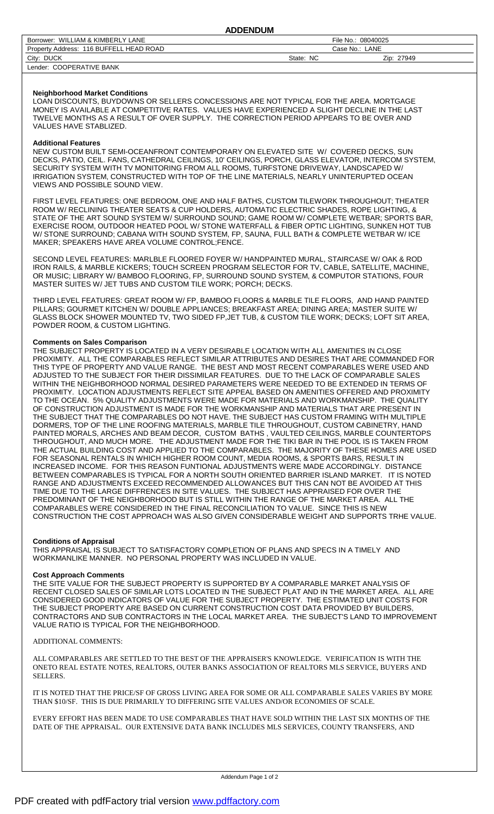| <b>ADDENDUM</b> |  |  |
|-----------------|--|--|
|                 |  |  |

| Borrower: WILLIAM & KIMBERLY LANE       | File No.: 08040025 |            |  |
|-----------------------------------------|--------------------|------------|--|
| Property Address: 116 BUFFELL HEAD ROAD | Case No.: LANE     |            |  |
| City: DUCK                              | State: NC          | Zip: 27949 |  |
| Lender: COOPERATIVE BANK                |                    |            |  |

#### **Neighborhood Market Conditions**

LOAN DISCOUNTS, BUYDOWNS OR SELLERS CONCESSIONS ARE NOT TYPICAL FOR THE AREA. MORTGAGE MONEY IS AVAILABLE AT COMPETITIVE RATES. VALUES HAVE EXPERIENCED A SLIGHT DECLINE IN THE LAST TWELVE MONTHS AS A RESULT OF OVER SUPPLY. THE CORRECTION PERIOD APPEARS TO BE OVER AND VALUES HAVE STABLIZED.

#### **Additional Features**

NEW CUSTOM BUILT SEMI-OCEANFRONT CONTEMPORARY ON ELEVATED SITE W/ COVERED DECKS, SUN DECKS, PATIO, CEIL. FANS, CATHEDRAL CEILINGS, 10' CEILINGS, PORCH, GLASS ELEVATOR, INTERCOM SYSTEM, SECURITY SYSTEM WITH TV MONITORING FROM ALL ROOMS, TURFSTONE DRIVEWAY, LANDSCAPED W/ IRRIGATION SYSTEM, CONSTRUCTED WITH TOP OF THE LINE MATERIALS, NEARLY UNINTERUPTED OCEAN VIEWS AND POSSIBLE SOUND VIEW.

FIRST LEVEL FEATURES: ONE BEDROOM, ONE AND HALF BATHS, CUSTOM TILEWORK THROUGHOUT; THEATER ROOM W/ RECLINING THEATER SEATS & CUP HOLDERS, AUTOMATIC ELECTRIC SHADES, ROPE LIGHTING, & STATE OF THE ART SOUND SYSTEM W/ SURROUND SOUND; GAME ROOM W/ COMPLETE WETBAR; SPORTS BAR, EXERCISE ROOM, OUTDOOR HEATED POOL W/ STONE WATERFALL & FIBER OPTIC LIGHTING, SUNKEN HOT TUB W/ STONE SURROUND; CABANA WITH SOUND SYSTEM, FP, SAUNA, FULL BATH & COMPLETE WETBAR W/ ICE MAKER; SPEAKERS HAVE AREA VOLUME CONTROL;FENCE.

SECOND LEVEL FEATURES: MARLBLE FLOORED FOYER W/ HANDPAINTED MURAL, STAIRCASE W/ OAK & ROD IRON RAILS, & MARBLE KICKERS; TOUCH SCREEN PROGRAM SELECTOR FOR TV, CABLE, SATELLITE, MACHINE, OR MUSIC; LIBRARY W/ BAMBOO FLOORING, FP, SURROUND SOUND SYSTEM, & COMPUTOR STATIONS, FOUR MASTER SUITES W/ JET TUBS AND CUSTOM TILE WORK; PORCH; DECKS.

THIRD LEVEL FEATURES: GREAT ROOM W/ FP, BAMBOO FLOORS & MARBLE TILE FLOORS, AND HAND PAINTED PILLARS; GOURMET KITCHEN W/ DOUBLE APPLIANCES; BREAKFAST AREA; DINING AREA; MASTER SUITE W/ GLASS BLOCK SHOWER MOUNTED TV, TWO SIDED FP,JET TUB, & CUSTOM TILE WORK; DECKS; LOFT SIT AREA, POWDER ROOM, & CUSTOM LIGHTING.

#### **Comments on Sales Comparison**

THE SUBJECT PROPERTY IS LOCATED IN A VERY DESIRABLE LOCATION WITH ALL AMENITIES IN CLOSE PROXIMITY. ALL THE COMPARABLES REFLECT SIMILAR ATTRIBUTES AND DESIRES THAT ARE COMMANDED FOR THIS TYPE OF PROPERTY AND VALUE RANGE. THE BEST AND MOST RECENT COMPARABLES WERE USED AND ADJUSTED TO THE SUBJECT FOR THEIR DISSIMILAR FEATURES. DUE TO THE LACK OF COMPARABLE SALES WITHIN THE NEIGHBORHOOD NORMAL DESIRED PARAMETERS WERE NEEDED TO BE EXTENDED IN TERMS OF PROXIMITY. LOCATION ADJUSTMENTS REFLECT SITE APPEAL BASED ON AMENITIES OFFERED AND PROXIMITY TO THE OCEAN. 5% QUALITY ADJUSTMENTS WERE MADE FOR MATERIALS AND WORKMANSHIP. THE QUALITY OF CONSTRUCTION ADJUSTMENT IS MADE FOR THE WORKMANSHIP AND MATERIALS THAT ARE PRESENT IN THE SUBJECT THAT THE COMPARABLES DO NOT HAVE. THE SUBJECT HAS CUSTOM FRAMING WITH MULTIPLE DORMERS, TOP OF THE LINE ROOFING MATERIALS, MARBLE TILE THROUGHOUT, CUSTOM CABINETRY, HAND PAINTED MORALS, ARCHES AND BEAM DECOR, CUSTOM BATHS , VAULTED CEILINGS, MARBLE COUNTERTOPS THROUGHOUT, AND MUCH MORE. THE ADJUSTMENT MADE FOR THE TIKI BAR IN THE POOL IS IS TAKEN FROM THE ACTUAL BUILDING COST AND APPLIED TO THE COMPARABLES. THE MAJORITY OF THESE HOMES ARE USED FOR SEASONAL RENTALS IN WHICH HIGHER ROOM COUNT, MEDIA ROOMS, & SPORTS BARS, RESULT IN INCREASED INCOME. FOR THIS REASON FUNTIONAL ADJUSTMENTS WERE MADE ACCORDINGLY. DISTANCE BETWEEN COMPARABLES IS TYPICAL FOR A NORTH SOUTH ORIENTED BARRIER ISLAND MARKET. IT IS NOTED RANGE AND ADJUSTMENTS EXCEED RECOMMENDED ALLOWANCES BUT THIS CAN NOT BE AVOIDED AT THIS TIME DUE TO THE LARGE DIFFRENCES IN SITE VALUES. THE SUBJECT HAS APPRAISED FOR OVER THE PREDOMINANT OF THE NEIGHBORHOOD BUT IS STILL WITHIN THE RANGE OF THE MARKET AREA. ALL THE COMPARABLES WERE CONSIDERED IN THE FINAL RECONCILIATION TO VALUE. SINCE THIS IS NEW CONSTRUCTION THE COST APPROACH WAS ALSO GIVEN CONSIDERABLE WEIGHT AND SUPPORTS TRHE VALUE.

#### **Conditions of Appraisal**

THIS APPRAISAL IS SUBJECT TO SATISFACTORY COMPLETION OF PLANS AND SPECS IN A TIMELY AND WORKMANLIKE MANNER. NO PERSONAL PROPERTY WAS INCLUDED IN VALUE.

#### **Cost Approach Comments**

THE SITE VALUE FOR THE SUBJECT PROPERTY IS SUPPORTED BY A COMPARABLE MARKET ANALYSIS OF RECENT CLOSED SALES OF SIMILAR LOTS LOCATED IN THE SUBJECT PLAT AND IN THE MARKET AREA. ALL ARE CONSIDERED GOOD INDICATORS OF VALUE FOR THE SUBJECT PROPERTY. THE ESTIMATED UNIT COSTS FOR THE SUBJECT PROPERTY ARE BASED ON CURRENT CONSTRUCTION COST DATA PROVIDED BY BUILDERS, CONTRACTORS AND SUB CONTRACTORS IN THE LOCAL MARKET AREA. THE SUBJECT'S LAND TO IMPROVEMENT VALUE RATIO IS TYPICAL FOR THE NEIGHBORHOOD.

ADDITIONAL COMMENTS:

ALL COMPARABLES ARE SETTLED TO THE BEST OF THE APPRAISER'S KNOWLEDGE. VERIFICATION IS WITH THE ONETO REAL ESTATE NOTES, REALTORS, OUTER BANKS ASSOCIATION OF REALTORS MLS SERVICE, BUYERS AND SELLERS.

IT IS NOTED THAT THE PRICE/SF OF GROSS LIVING AREA FOR SOME OR ALL COMPARABLE SALES VARIES BY MORE THAN \$10/SF. THIS IS DUE PRIMARILY TO DIFFERING SITE VALUES AND/OR ECONOMIES OF SCALE.

EVERY EFFORT HAS BEEN MADE TO USE COMPARABLES THAT HAVE SOLD WITHIN THE LAST SIX MONTHS OF THE DATE OF THE APPRAISAL. OUR EXTENSIVE DATA BANK INCLUDES MLS SERVICES, COUNTY TRANSFERS, AND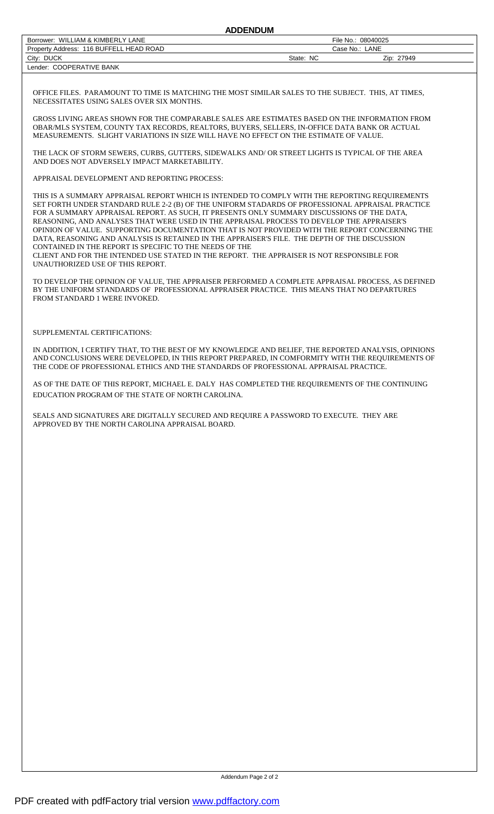| Borrower: WILLIAM & KIMBERLY LANE       | File No.: 08040025 |            |  |
|-----------------------------------------|--------------------|------------|--|
| Property Address: 116 BUFFELL HEAD ROAD | Case No.: I ANF    |            |  |
| City: DUCK                              | State: NC          | Zip: 27949 |  |
| Lender: COOPERATIVE BANK                |                    |            |  |
|                                         |                    |            |  |

OFFICE FILES. PARAMOUNT TO TIME IS MATCHING THE MOST SIMILAR SALES TO THE SUBJECT. THIS, AT TIMES, NECESSITATES USING SALES OVER SIX MONTHS.

GROSS LIVING AREAS SHOWN FOR THE COMPARABLE SALES ARE ESTIMATES BASED ON THE INFORMATION FROM OBAR/MLS SYSTEM, COUNTY TAX RECORDS, REALTORS, BUYERS, SELLERS, IN-OFFICE DATA BANK OR ACTUAL MEASUREMENTS. SLIGHT VARIATIONS IN SIZE WILL HAVE NO EFFECT ON THE ESTIMATE OF VALUE.

THE LACK OF STORM SEWERS, CURBS, GUTTERS, SIDEWALKS AND/ OR STREET LIGHTS IS TYPICAL OF THE AREA AND DOES NOT ADVERSELY IMPACT MARKETABILITY.

APPRAISAL DEVELOPMENT AND REPORTING PROCESS:

THIS IS A SUMMARY APPRAISAL REPORT WHICH IS INTENDED TO COMPLY WITH THE REPORTING REQUIREMENTS SET FORTH UNDER STANDARD RULE 2-2 (B) OF THE UNIFORM STADARDS OF PROFESSIONAL APPRAISAL PRACTICE FOR A SUMMARY APPRAISAL REPORT. AS SUCH, IT PRESENTS ONLY SUMMARY DISCUSSIONS OF THE DATA, REASONING, AND ANALYSES THAT WERE USED IN THE APPRAISAL PROCESS TO DEVELOP THE APPRAISER'S OPINION OF VALUE. SUPPORTING DOCUMENTATION THAT IS NOT PROVIDED WITH THE REPORT CONCERNING THE DATA, REASONING AND ANALYSIS IS RETAINED IN THE APPRAISER'S FILE. THE DEPTH OF THE DISCUSSION CONTAINED IN THE REPORT IS SPECIFIC TO THE NEEDS OF THE

CLIENT AND FOR THE INTENDED USE STATED IN THE REPORT. THE APPRAISER IS NOT RESPONSIBLE FOR UNAUTHORIZED USE OF THIS REPORT.

TO DEVELOP THE OPINION OF VALUE, THE APPRAISER PERFORMED A COMPLETE APPRAISAL PROCESS, AS DEFINED BY THE UNIFORM STANDARDS OF PROFESSIONAL APPRAISER PRACTICE. THIS MEANS THAT NO DEPARTURES FROM STANDARD 1 WERE INVOKED.

SUPPLEMENTAL CERTIFICATIONS:

IN ADDITION, I CERTIFY THAT, TO THE BEST OF MY KNOWLEDGE AND BELIEF, THE REPORTED ANALYSIS, OPINIONS AND CONCLUSIONS WERE DEVELOPED, IN THIS REPORT PREPARED, IN COMFORMITY WITH THE REQUIREMENTS OF THE CODE OF PROFESSIONAL ETHICS AND THE STANDARDS OF PROFESSIONAL APPRAISAL PRACTICE.

AS OF THE DATE OF THIS REPORT, MICHAEL E. DALY HAS COMPLETED THE REQUIREMENTS OF THE CONTINUING EDUCATION PROGRAM OF THE STATE OF NORTH CAROLINA.

SEALS AND SIGNATURES ARE DIGITALLY SECURED AND REQUIRE A PASSWORD TO EXECUTE. THEY ARE APPROVED BY THE NORTH CAROLINA APPRAISAL BOARD.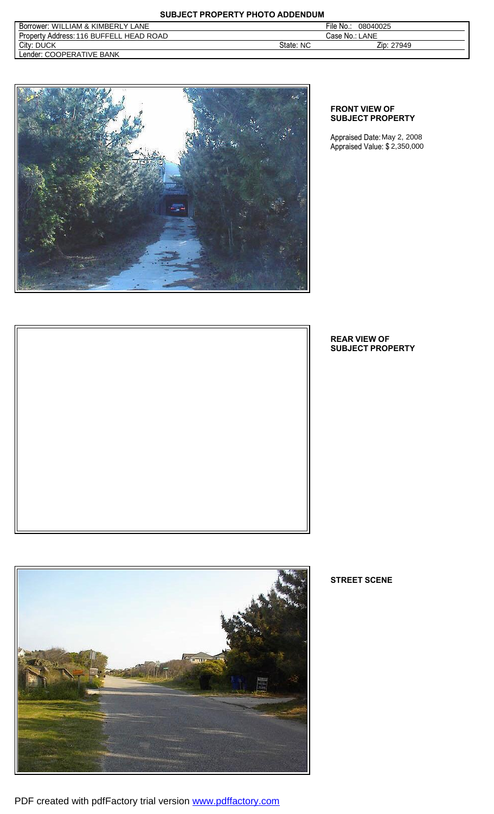### **SUBJECT PROPERTY PHOTO ADDENDUM**

| <b>Borr</b><br><b>LIAM &amp; KIMBERL</b><br>LANE<br>WIL.<br>:rower | ™ile      | 08040025<br>NO.: |
|--------------------------------------------------------------------|-----------|------------------|
| ∽<br>Address: 116 BUFFEI<br><b>HEAD</b><br><b>ROAD</b><br>Proner'  | Case      | LANE<br>ิ No…    |
| City:<br><b>DUCK</b>                                               | State: NC | Zip: 27949       |

Lender: COOPERATIVE BANK



#### **FRONT VIEW OF SUBJECT PROPERTY**

Appraised Date: Appraised Value: \$ 2,350,000 May 2, 2008



#### **REAR VIEW OF SUBJECT PROPERTY**

**STREET SCENE**



PDF created with pdfFactory trial version [www.pdffactory.com](http://www.pdffactory.com)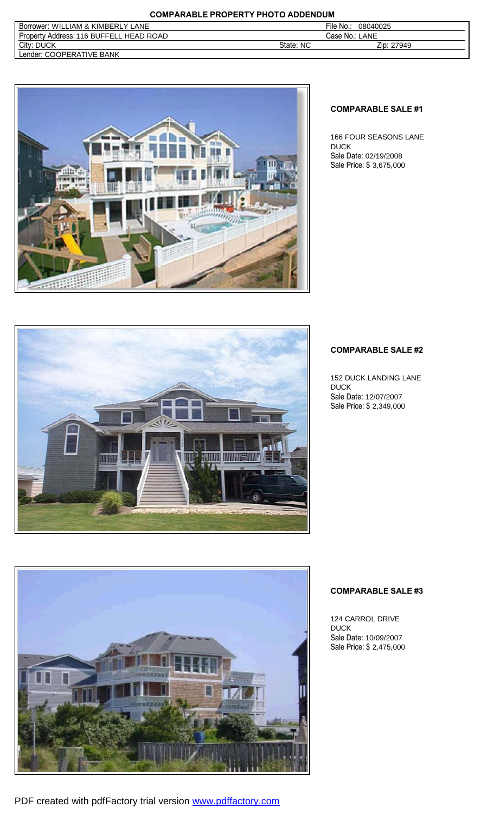### **COMPARABLE PROPERTY PHOTO ADDENDUM**

| Borrower: WILLIAM & KIMBERLY LANE       | File No   | 08040025       |
|-----------------------------------------|-----------|----------------|
| Property Address: 116 BUFFELL HEAD ROAD |           | Case No.: LANE |
| City: DUCK                              | State: NC | Zip: 27949     |

Lender: COOPERATIVE BANK



### **COMPARABLE SALE #1**

Sale Date: 02/19/2008 Sale Price: \$ 3,675,000 DUCK 166 FOUR SEASONS LANE



### **COMPARABLE SALE #2**

Sale Date: 12/07/2007 Sale Price: \$ 2,349,000 DUCK 152 DUCK LANDING LANE



PDF created with pdfFactory trial version [www.pdffactory.com](http://www.pdffactory.com)

### **COMPARABLE SALE #3**

Sale Date: 10/09/2007 Sale Price: \$ 2,475,000 DUCK 124 CARROL DRIVE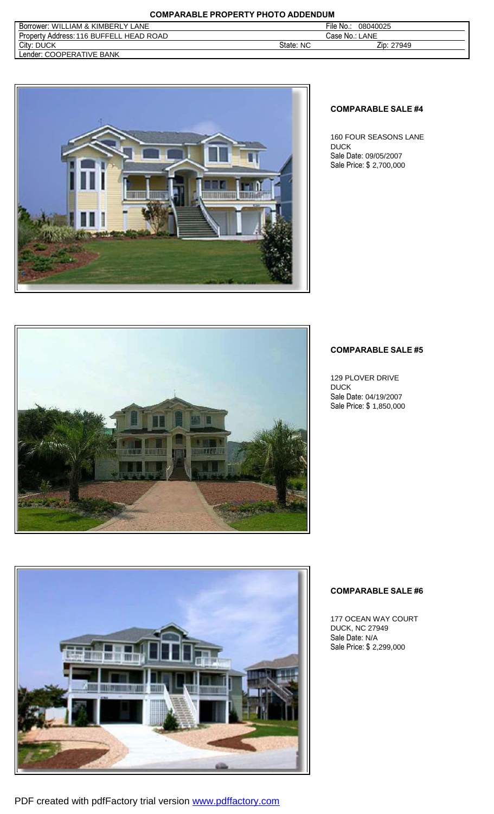### **COMPARABLE PROPERTY PHOTO ADDENDUM**

| Borrower: WILLIAM & KIMBERLY LANE               | File No   | 08040025       |
|-------------------------------------------------|-----------|----------------|
| Address: 116 BUFFELL<br>Property<br>. HEAD ROAD |           | Case No.: LANE |
| City: DUCK                                      | State: NC | Zip: 27949     |

Lender: COOPERATIVE BANK



### **COMPARABLE SALE #4**

 $\overline{\phantom{a}}$ 

Sale Date: 09/05/2007 Sale Price: \$ 2,700,000 DUCK 160 FOUR SEASONS LANE



### **COMPARABLE SALE #5**

Sale Date: Sale Price: \$ 1,850,000 04/19/2007 DUCK 129 PLOVER DRIVE



# PDF created with pdfFactory trial version [www.pdffactory.com](http://www.pdffactory.com)

## **COMPARABLE SALE #6**

Sale Date: N/A Sale Price: \$ 2,299,000 DUCK, NC 27949 177 OCEAN WAY COURT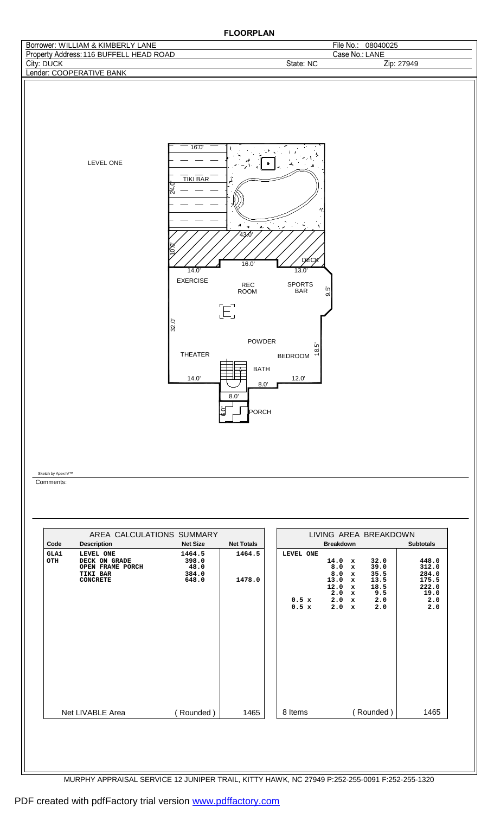### **FLOORPLAN**

| Borrower: WILLIAM & KIMBERLY LANE                                                                                                     |                                                                                                | ירש וייש ב                                                                                                                                                   |                                                                                                                                              | File No.: 08040025                                                                                                                                                                                                                           |                                                                 |
|---------------------------------------------------------------------------------------------------------------------------------------|------------------------------------------------------------------------------------------------|--------------------------------------------------------------------------------------------------------------------------------------------------------------|----------------------------------------------------------------------------------------------------------------------------------------------|----------------------------------------------------------------------------------------------------------------------------------------------------------------------------------------------------------------------------------------------|-----------------------------------------------------------------|
| Property Address: 116 BUFFELL HEAD ROAD<br>City: DUCK                                                                                 |                                                                                                |                                                                                                                                                              | State: NC                                                                                                                                    | Case No.: LANE                                                                                                                                                                                                                               | Zip: 27949                                                      |
| Lender: COOPERATIVE BANK                                                                                                              |                                                                                                |                                                                                                                                                              |                                                                                                                                              |                                                                                                                                                                                                                                              |                                                                 |
| LEVEL ONE<br>Sketch by Apex IV™<br>Comments:                                                                                          | 16.0<br><b>TIKI BAR</b><br>0<br>14.0'<br><b>EXERCISE</b><br>$32.0^{\circ}$<br>THEATER<br>14.0' | $A = \frac{1}{2}$<br>$\boldsymbol{\Lambda}$<br>$\lambda$<br>430'<br>16.0'<br>$\sf REC$<br><b>ROOM</b><br>E<br>POWDER<br><b>BATH</b><br>8.0'<br>8.0'<br>PORCH | $\mathcal{N}(\mathbf{x}^n)$<br>$\blacktriangle$<br>. . <b>.</b><br>҄ӯӖҪҜ<br>13.0'<br><b>SPORTS</b><br>BAR<br>18.5<br><b>BEDROOM</b><br>12.0' | $9.5^{\circ}$                                                                                                                                                                                                                                |                                                                 |
| AREA CALCULATIONS SUMMARY<br>Code<br><b>Description</b>                                                                               | <b>Net Size</b>                                                                                | <b>Net Totals</b>                                                                                                                                            |                                                                                                                                              | LIVING AREA BREAKDOWN<br><b>Breakdown</b>                                                                                                                                                                                                    | <b>Subtotals</b>                                                |
| GLA1<br>LEVEL ONE<br>OTH<br>DECK ON GRADE<br>OPEN FRAME PORCH<br><b>TIKI BAR</b><br>$\begin{array}{ll} \textbf{CONCRETE} \end{array}$ | 1464.5<br>398.0<br>48.0<br>384.0<br>648.0                                                      | 1464.5<br>1478.0                                                                                                                                             | LEVEL ONE<br>0.5 x<br>0.5 x                                                                                                                  | 14.0<br>32.0<br>$\mathbf x$<br>8.0<br>39.0<br>$\mathbf x$<br>8.0<br>35.5<br>$\mathbf x$<br>13.0<br>$\mathbf x$<br>13.5<br>12.0<br>18.5<br>$\mathbf x$<br>2.0<br>9.5<br>$\mathbf x$<br>2.0<br>2.0<br>$\mathbf x$<br>2.0<br>2.0<br>$\mathbf x$ | 448.0<br>312.0<br>284.0<br>175.5<br>222.0<br>19.0<br>2.0<br>2.0 |
| Net LIVABLE Area                                                                                                                      | (Rounded)                                                                                      | 1465                                                                                                                                                         | 8 Items                                                                                                                                      | (Rounded)                                                                                                                                                                                                                                    | 1465                                                            |
|                                                                                                                                       |                                                                                                |                                                                                                                                                              |                                                                                                                                              |                                                                                                                                                                                                                                              |                                                                 |

MURPHY APPRAISAL SERVICE 12 JUNIPER TRAIL, KITTY HAWK, NC 27949 P:252-255-0091 F:252-255-1320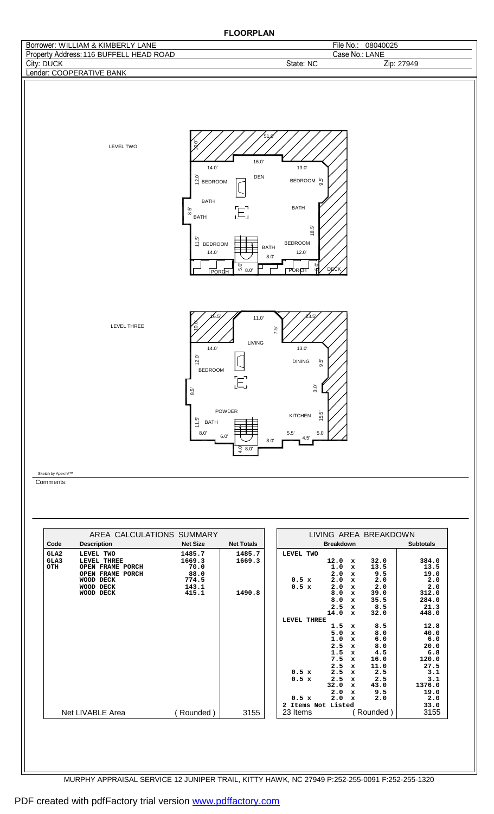#### **FLOORPLAN**



MURPHY APPRAISAL SERVICE 12 JUNIPER TRAIL, KITTY HAWK, NC 27949 P:252-255-0091 F:252-255-1320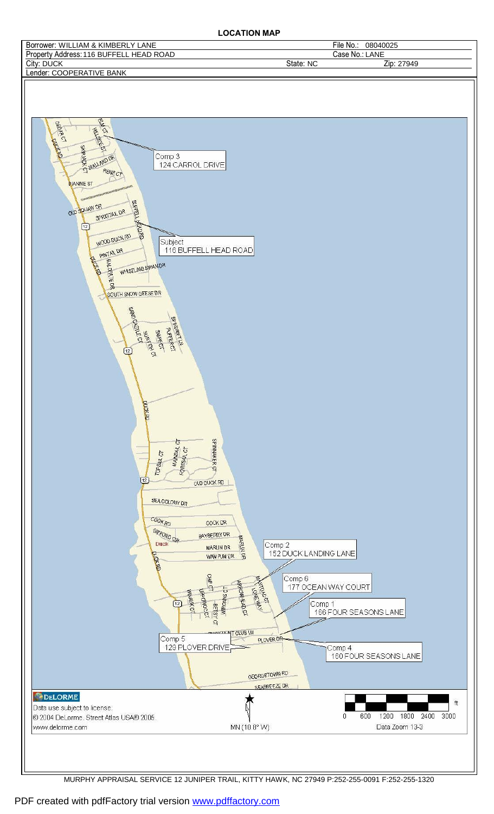#### **LOCATION MAP**



MURPHY APPRAISAL SERVICE 12 JUNIPER TRAIL, KITTY HAWK, NC 27949 P:252-255-0091 F:252-255-1320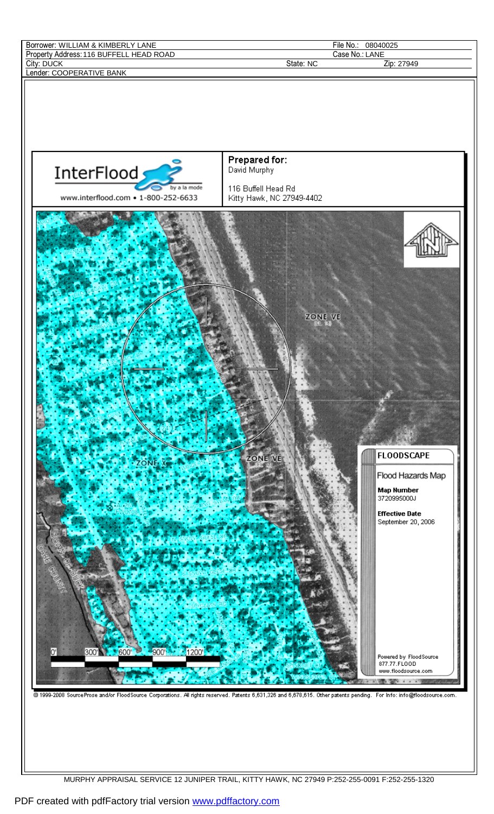

MURPHY APPRAISAL SERVICE 12 JUNIPER TRAIL, KITTY HAWK, NC 27949 P:252-255-0091 F:252-255-1320